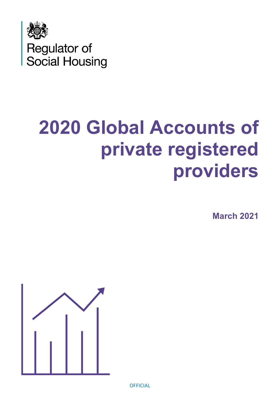

# **2020 Global Accounts of private registered providers**

**March 2021**



**OFFICIAL**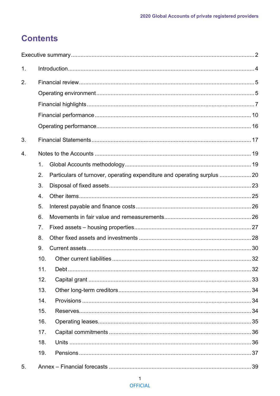# **Contents**

| $\mathbf 1$ . |                  |                                                                         |    |
|---------------|------------------|-------------------------------------------------------------------------|----|
| 2.            |                  |                                                                         |    |
|               |                  |                                                                         |    |
|               |                  |                                                                         |    |
|               |                  |                                                                         |    |
|               |                  |                                                                         |    |
| 3.            |                  |                                                                         |    |
| 4.            |                  |                                                                         |    |
|               | 1.               |                                                                         |    |
|               | 2.               | Particulars of turnover, operating expenditure and operating surplus 20 |    |
|               | 3.               |                                                                         |    |
|               | $\overline{4}$ . |                                                                         |    |
|               | 5.               |                                                                         |    |
|               | 6.               |                                                                         |    |
|               | 7.               |                                                                         |    |
|               | 8.               |                                                                         |    |
|               | 9.               |                                                                         |    |
|               | 10.              |                                                                         |    |
|               | 11.              |                                                                         |    |
|               | 12.              |                                                                         |    |
|               | 13.              |                                                                         |    |
|               | 14.              |                                                                         |    |
|               | 15.              |                                                                         |    |
|               | 16.              |                                                                         |    |
|               | 17.              |                                                                         |    |
|               | 18.              |                                                                         |    |
|               | 19.              |                                                                         |    |
| 5.            |                  |                                                                         | 39 |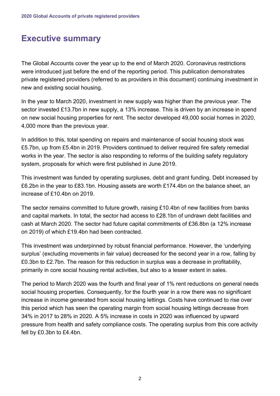# <span id="page-2-0"></span>**Executive summary**

The Global Accounts cover the year up to the end of March 2020. Coronavirus restrictions were introduced just before the end of the reporting period. This publication demonstrates private registered providers (referred to as providers in this document) continuing investment in new and existing social housing.

In the year to March 2020, investment in new supply was higher than the previous year. The sector invested £13.7bn in new supply, a 13% increase. This is driven by an increase in spend on new social housing properties for rent. The sector developed 49,000 social homes in 2020, 4,000 more than the previous year.

In addition to this, total spending on repairs and maintenance of social housing stock was £5.7bn, up from £5.4bn in 2019. Providers continued to deliver required fire safety remedial works in the year. The sector is also responding to reforms of the building safety regulatory system, proposals for which were first published in June 2019.

This investment was funded by operating surpluses, debt and grant funding. Debt increased by £6.2bn in the year to £83.1bn. Housing assets are worth £174.4bn on the balance sheet, an increase of £10.4bn on 2019.

The sector remains committed to future growth, raising £10.4bn of new facilities from banks and capital markets. In total, the sector had access to £28.1bn of undrawn debt facilities and cash at March 2020. The sector had future capital commitments of £36.8bn (a 12% increase on 2019) of which £19.4bn had been contracted.

This investment was underpinned by robust financial performance. However, the 'underlying surplus' (excluding movements in fair value) decreased for the second year in a row, falling by £0.3bn to £2.7bn. The reason for this reduction in surplus was a decrease in profitability, primarily in core social housing rental activities, but also to a lesser extent in sales.

The period to March 2020 was the fourth and final year of 1% rent reductions on general needs social housing properties. Consequently, for the fourth year in a row there was no significant increase in income generated from social housing lettings. Costs have continued to rise over this period which has seen the operating margin from social housing lettings decrease from 34% in 2017 to 28% in 2020. A 5% increase in costs in 2020 was influenced by upward pressure from health and safety compliance costs. The operating surplus from this core activity fell by £0.3bn to £4.4bn.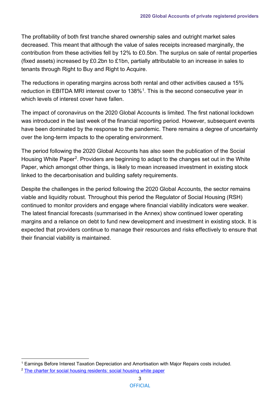The profitability of both first tranche shared ownership sales and outright market sales decreased. This meant that although the value of sales receipts increased marginally, the contribution from these activities fell by 12% to £0.5bn. The surplus on sale of rental properties (fixed assets) increased by £0.2bn to £1bn, partially attributable to an increase in sales to tenants through Right to Buy and Right to Acquire.

The reductions in operating margins across both rental and other activities caused a 15% reduction in EBITDA MRI interest cover to 138%<sup>1</sup>. This is the second consecutive year in which levels of interest cover have fallen.

The impact of coronavirus on the 2020 Global Accounts is limited. The first national lockdown was introduced in the last week of the financial reporting period. However, subsequent events have been dominated by the response to the pandemic. There remains a degree of uncertainty over the long-term impacts to the operating environment.

The period following the 2020 Global Accounts has also seen the publication of the Social Housing White Paper<sup>2</sup>. Providers are beginning to adapt to the changes set out in the White Paper, which amongst other things, is likely to mean increased investment in existing stock linked to the decarbonisation and building safety requirements.

Despite the challenges in the period following the 2020 Global Accounts, the sector remains viable and liquidity robust. Throughout this period the Regulator of Social Housing (RSH) continued to monitor providers and engage where financial viability indicators were weaker. The latest financial forecasts (summarised in the Annex) show continued lower operating margins and a reliance on debt to fund new development and investment in existing stock. It is expected that providers continue to manage their resources and risks effectively to ensure that their financial viability is maintained.

<span id="page-3-0"></span><sup>1</sup> Earnings Before Interest Taxation Depreciation and Amortisation with Major Repairs costs included.

<span id="page-3-1"></span><sup>&</sup>lt;sup>2</sup> [The charter for social housing residents: social housing white paper](https://www.gov.uk/government/publications/the-charter-for-social-housing-residents-social-housing-white-paper)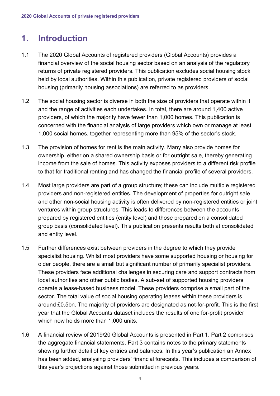# <span id="page-4-0"></span>**1. Introduction**

- 1.1 The 2020 Global Accounts of registered providers (Global Accounts) provides a financial overview of the social housing sector based on an analysis of the regulatory returns of private registered providers. This publication excludes social housing stock held by local authorities. Within this publication, private registered providers of social housing (primarily housing associations) are referred to as providers.
- 1.2 The social housing sector is diverse in both the size of providers that operate within it and the range of activities each undertakes. In total, there are around 1,400 active providers, of which the majority have fewer than 1,000 homes. This publication is concerned with the financial analysis of large providers which own or manage at least 1,000 social homes, together representing more than 95% of the sector's stock.
- 1.3 The provision of homes for rent is the main activity. Many also provide homes for ownership, either on a shared ownership basis or for outright sale, thereby generating income from the sale of homes. This activity exposes providers to a different risk profile to that for traditional renting and has changed the financial profile of several providers.
- 1.4 Most large providers are part of a group structure; these can include multiple registered providers and non-registered entities. The development of properties for outright sale and other non-social housing activity is often delivered by non-registered entities or joint ventures within group structures. This leads to differences between the accounts prepared by registered entities (entity level) and those prepared on a consolidated group basis (consolidated level). This publication presents results both at consolidated and entity level.
- 1.5 Further differences exist between providers in the degree to which they provide specialist housing. Whilst most providers have some supported housing or housing for older people, there are a small but significant number of primarily specialist providers. These providers face additional challenges in securing care and support contracts from local authorities and other public bodies. A sub-set of supported housing providers operate a lease-based business model. These providers comprise a small part of the sector. The total value of social housing operating leases within these providers is around £0.5bn. The majority of providers are designated as not-for-profit. This is the first year that the Global Accounts dataset includes the results of one for-profit provider which now holds more than 1,000 units.
- 1.6 A financial review of 2019/20 Global Accounts is presented in Part 1. Part 2 comprises the aggregate financial statements. Part 3 contains notes to the primary statements showing further detail of key entries and balances. In this year's publication an Annex has been added, analysing providers' financial forecasts. This includes a comparison of this year's projections against those submitted in previous years.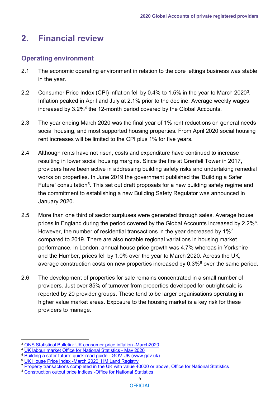# <span id="page-5-0"></span>**2. Financial review**

# <span id="page-5-1"></span>**Operating environment**

- 2.1 The economic operating environment in relation to the core lettings business was stable in the year.
- 2.2 Consumer Price Index (CPI) inflation fell by 0.4% to 1.5% in the year to March 2020<sup>3</sup>. Inflation peaked in April and July at 2.1% prior to the decline. Average weekly wages increased by 3.2[%4](#page-5-3) the 12-month period covered by the Global Accounts.
- 2.3 The year ending March 2020 was the final year of 1% rent reductions on general needs social housing, and most supported housing properties. From April 2020 social housing rent increases will be limited to the CPI plus 1% for five years.
- 2.4 Although rents have not risen, costs and expenditure have continued to increase resulting in lower social housing margins. Since the fire at Grenfell Tower in 2017, providers have been active in addressing building safety risks and undertaking remedial works on properties. In June 2019 the government published the 'Building a Safer Future' consultation<sup>5</sup>. This set out draft proposals for a new building safety regime and the commitment to establishing a new Building Safety Regulator was announced in January 2020.
- 2.5 More than one third of sector surpluses were generated through sales. Average house prices in England during the period covered by the Global Accounts increased by 2.2%<sup>6</sup>. However, the number of residential transactions in the year decreased by 1%<sup>7</sup> compared to 2019. There are also notable regional variations in housing market performance. In London, annual house price growth was 4.7% whereas in Yorkshire and the Humber, prices fell by 1.0% over the year to March 2020. Across the UK, average construction costs on new properties increased by  $0.3\%$ <sup>8</sup> over the same period.
- 2.6 The development of properties for sale remains concentrated in a small number of providers. Just over 85% of turnover from properties developed for outright sale is reported by 20 provider groups. These tend to be larger organisations operating in higher value market areas. Exposure to the housing market is a key risk for these providers to manage.

<span id="page-5-2"></span><sup>3</sup> [ONS Statistical Bulletin: UK consumer price inflation -March2020](https://www.ons.gov.uk/economy/inflationandpriceindices/bulletins/consumerpriceinflation/march2020)

<span id="page-5-3"></span><sup>4</sup> [UK labour market Office for National Statistics -](https://www.ons.gov.uk/employmentandlabourmarket/peopleinwork/employmentandemployeetypes/bulletins/averageweeklyearningsingreatbritain/may2020) May 2020

<span id="page-5-4"></span><sup>5</sup> [Building a safer future: quick-read guide -](https://www.gov.uk/government/consultations/building-a-safer-future-proposals-for-reform-of-the-building-safety-regulatory-system/building-a-safer-future-quick-read-guide) GOV.UK (www.gov.uk)

<span id="page-5-5"></span><sup>&</sup>lt;sup>6</sup> [UK House Price Index -March 2020, HM Land Registry](https://www.gov.uk/government/publications/uk-house-price-index-england-march-2020/uk-house-price-index-england-march-2020)

<span id="page-5-6"></span><sup>&</sup>lt;sup>7</sup> [Property transactions completed in the UK with value 40000 or above, Office for National Statistics](https://www.gov.uk/government/statistics/monthly-property-transactions-completed-in-the-uk-with-value-40000-or-above)

<span id="page-5-7"></span><sup>8</sup> [Construction output price indices -Office for National Statistics](https://www.ons.gov.uk/businessindustryandtrade/constructionindustry/datasets/interimconstructionoutputpriceindices)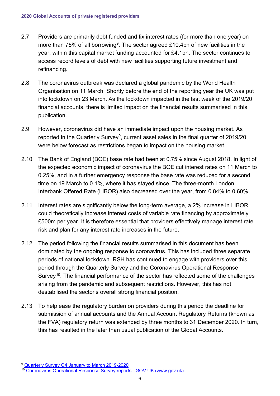- 2.7 Providers are primarily debt funded and fix interest rates (for more than one year) on more than 75% of all borrowing<sup>[9](#page-6-0)</sup>. The sector agreed £10.4bn of new facilities in the year, within this capital market funding accounted for £4.1bn. The sector continues to access record levels of debt with new facilities supporting future investment and refinancing.
- 2.8 The coronavirus outbreak was declared a global pandemic by the World Health Organisation on 11 March. Shortly before the end of the reporting year the UK was put into lockdown on 23 March. As the lockdown impacted in the last week of the 2019/20 financial accounts, there is limited impact on the financial results summarised in this publication.
- 2.9 However, coronavirus did have an immediate impact upon the housing market. As reported in the Quarterly Survey<sup>9</sup>, current asset sales in the final quarter of 2019/20 were below forecast as restrictions began to impact on the housing market.
- 2.10 The Bank of England (BOE) base rate had been at 0.75% since August 2018. In light of the expected economic impact of coronavirus the BOE cut interest rates on 11 March to 0.25%, and in a further emergency response the base rate was reduced for a second time on 19 March to 0.1%, where it has stayed since. The three-month London Interbank Offered Rate (LIBOR) also decreased over the year, from 0.84% to 0.60%.
- 2.11 Interest rates are significantly below the long-term average, a 2% increase in LIBOR could theoretically increase interest costs of variable rate financing by approximately £500m per year. It is therefore essential that providers effectively manage interest rate risk and plan for any interest rate increases in the future.
- 2.12 The period following the financial results summarised in this document has been dominated by the ongoing response to coronavirus. This has included three separate periods of national lockdown. RSH has continued to engage with providers over this period through the Quarterly Survey and the Coronavirus Operational Response Survey<sup>10</sup>. The financial performance of the sector has reflected some of the challenges arising from the pandemic and subsequent restrictions. However, this has not destabilised the sector's overall strong financial position.
- 2.13 To help ease the regulatory burden on providers during this period the deadline for submission of annual accounts and the Annual Account Regulatory Returns (known as the FVA) regulatory return was extended by three months to 31 December 2020. In turn, this has resulted in the later than usual publication of the Global Accounts.

<span id="page-6-0"></span><sup>9</sup> [Quarterly Survey Q4 January to March 2019-2020](https://www.gov.uk/government/publications/quarterly-survey-for-q4-january-to-march-2019-to-2020)

<span id="page-6-1"></span><sup>10</sup> [Coronavirus Operational Response Survey reports -](https://www.gov.uk/government/publications/coronavirus-operational-response-survey-reports) GOV.UK (www.gov.uk)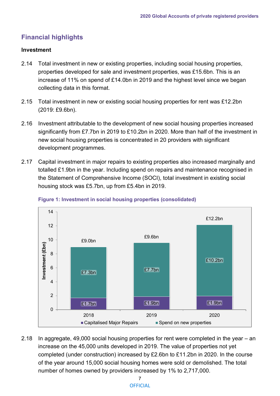# <span id="page-7-0"></span>**Financial highlights**

## **Investment**

- 2.14 Total investment in new or existing properties, including social housing properties, properties developed for sale and investment properties, was £15.6bn. This is an increase of 11% on spend of £14.0bn in 2019 and the highest level since we began collecting data in this format.
- 2.15 Total investment in new or existing social housing properties for rent was £12.2bn (2019: £9.6bn).
- 2.16 Investment attributable to the development of new social housing properties increased significantly from £7.7bn in 2019 to £10.2bn in 2020. More than half of the investment in new social housing properties is concentrated in 20 providers with significant development programmes.
- 2.17 Capital investment in major repairs to existing properties also increased marginally and totalled £1.9bn in the year. Including spend on repairs and maintenance recognised in the Statement of Comprehensive Income (SOCI), total investment in existing social housing stock was £5.7bn, up from £5.4bn in 2019.



#### **Figure 1: Investment in social housing properties (consolidated)**

2.18 In aggregate, 49,000 social housing properties for rent were completed in the year – an increase on the 45,000 units developed in 2019. The value of properties not yet completed (under construction) increased by £2.6bn to £11.2bn in 2020. In the course of the year around 15,000 social housing homes were sold or demolished. The total number of homes owned by providers increased by 1% to 2,717,000.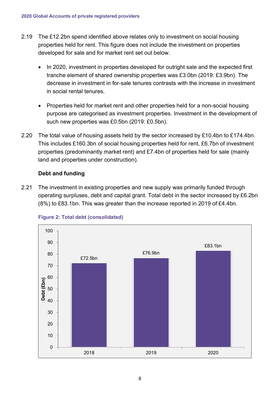- 2.19 The £12.2bn spend identified above relates only to investment on social housing properties held for rent. This figure does not include the investment on properties developed for sale and for market rent set out below.
	- In 2020, investment in properties developed for outright sale and the expected first tranche element of shared ownership properties was £3.0bn (2019: £3.9bn). The decrease in investment in for-sale tenures contrasts with the increase in investment in social rental tenures.
	- Properties held for market rent and other properties held for a non-social housing purpose are categorised as investment properties. Investment in the development of such new properties was £0.5bn (2019: £0.5bn).
- 2.20 The total value of housing assets held by the sector increased by £10.4bn to £174.4bn. This includes £160.3bn of social housing properties held for rent, £6.7bn of investment properties (predominantly market rent) and £7.4bn of properties held for sale (mainly land and properties under construction).

# **Debt and funding**

2.21 The investment in existing properties and new supply was primarily funded through operating surpluses, debt and capital grant. Total debt in the sector increased by £6.2bn (8%) to £83.1bn. This was greater than the increase reported in 2019 of £4.4bn.



# **Figure 2: Total debt (consolidated)**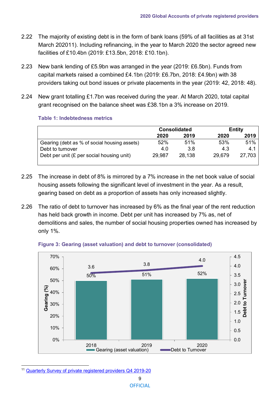- 2.22 The majority of existing debt is in the form of bank loans (59% of all facilities as at 31st March 2020[11\)](#page-9-0). Including refinancing, in the year to March 2020 the sector agreed new facilities of £10.4bn (2019: £13.5bn, 2018: £10.1bn).
- 2.23 New bank lending of £5.9bn was arranged in the year (2019: £6.5bn). Funds from capital markets raised a combined £4.1bn (2019: £6.7bn, 2018: £4.9bn) with 38 providers taking out bond issues or private placements in the year (2019: 42, 2018: 48).
- 2.24 New grant totalling £1.7bn was received during the year. At March 2020, total capital grant recognised on the balance sheet was £38.1bn a 3% increase on 2019.

#### **Table 1: Indebtedness metrics**

|                                              | <b>Consolidated</b> |        | <b>Entity</b> |        |  |
|----------------------------------------------|---------------------|--------|---------------|--------|--|
|                                              | 2020                | 2019   | 2020          | 2019   |  |
| Gearing (debt as % of social housing assets) | 52%                 | 51%    | 53%           | 51%    |  |
| Debt to turnover                             | 4.0                 | 3.8    | 4.3           | 4.1    |  |
| Debt per unit (£ per social housing unit)    | 29,987              | 28,138 | 29,679        | 27,703 |  |

- 2.25 The increase in debt of 8% is mirrored by a 7% increase in the net book value of social housing assets following the significant level of investment in the year. As a result, gearing based on debt as a proportion of assets has only increased slightly.
- 2.26 The ratio of debt to turnover has increased by 6% as the final year of the rent reduction has held back growth in income. Debt per unit has increased by 7% as, net of demolitions and sales, the number of social housing properties owned has increased by only 1%.



#### **Figure 3: Gearing (asset valuation) and debt to turnover (consolidated)**

<span id="page-9-0"></span><sup>11</sup> [Quarterly Survey of private registered providers Q4 2019-20](https://www.gov.uk/government/publications/quarterly-survey-for-q4-january-to-march-2019-to-2020)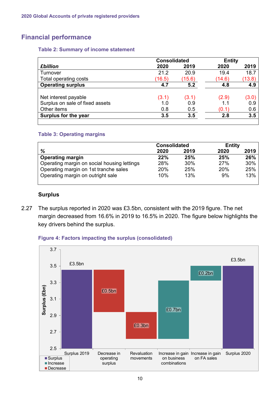# <span id="page-10-0"></span>**Financial performance**

#### **Table 2: Summary of income statement**

| <b>Consolidated</b>                                                    |                     | <b>Entity</b>       |                |                     |
|------------------------------------------------------------------------|---------------------|---------------------|----------------|---------------------|
| <b>£billion</b>                                                        | 2020                | 2019                | 2020           | 2019                |
| Turnover                                                               | 21.2                | 20.9                | 19.4           | 18.7                |
| Total operating costs                                                  | (16.5)              | (15.6)              | (14.6)         | (13.8)              |
| <b>Operating surplus</b>                                               | 4.7                 | 5.2                 | 4.8            | 4.9                 |
| Net interest payable<br>Surplus on sale of fixed assets<br>Other items | (3.1)<br>1.0<br>0.8 | (3.1)<br>0.9<br>0.5 | (2.9)<br>(0.1) | (3.0)<br>0.9<br>0.6 |
| Surplus for the year                                                   | 3.5                 | 3.5                 | 2.8            | 3.5                 |

#### **Table 3: Operating margins**

|                                             | <b>Consolidated</b> |      | <b>Entity</b> |      |
|---------------------------------------------|---------------------|------|---------------|------|
| %                                           | 2020                | 2019 | 2020          | 2019 |
| <b>Operating margin</b>                     | 22%                 | 25%  | 25%           | 26%  |
| Operating margin on social housing lettings | 28%                 | 30%  | 27%           | 30%  |
| Operating margin on 1st tranche sales       | 20%                 | 25%  | 20%           | 25%  |
| Operating margin on outright sale           | 10%                 | 13%  | 9%            | 13%  |
|                                             |                     |      |               |      |

#### **Surplus**

2.27 The surplus reported in 2020 was £3.5bn, consistent with the 2019 figure. The net margin decreased from 16.6% in 2019 to 16.5% in 2020. The figure below highlights the key drivers behind the surplus.



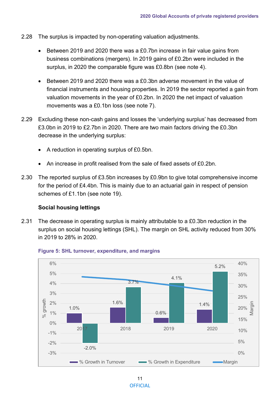- 2.28 The surplus is impacted by non-operating valuation adjustments.
	- Between 2019 and 2020 there was a £0.7bn increase in fair value gains from business combinations (mergers). In 2019 gains of £0.2bn were included in the surplus, in 2020 the comparable figure was £0.8bn (see [note](#page-26-1) 4).
	- Between 2019 and 2020 there was a £0.3bn adverse movement in the value of financial instruments and housing properties. In 2019 the sector reported a gain from valuation movements in the year of £0.2bn. In 2020 the net impact of valuation movements was a £0.1bn loss (see note 7).
- 2.29 Excluding these non-cash gains and losses the 'underlying surplus' has decreased from £3.0bn in 2019 to £2.7bn in 2020. There are two main factors driving the £0.3bn decrease in the underlying surplus:
	- A reduction in operating surplus of £0.5bn.
	- An increase in profit realised from the sale of fixed assets of £0.2bn.
- 2.30 The reported surplus of £3.5bn increases by £0.9bn to give total comprehensive income for the period of £4.4bn. This is mainly due to an actuarial gain in respect of pension schemes of £1.1bn (see note 19).

#### **Social housing lettings**

2.31 The decrease in operating surplus is mainly attributable to a £0.3bn reduction in the surplus on social housing lettings (SHL). The margin on SHL activity reduced from 30% in 2019 to 28% in 2020.



#### **Figure 5: SHL turnover, expenditure, and margins**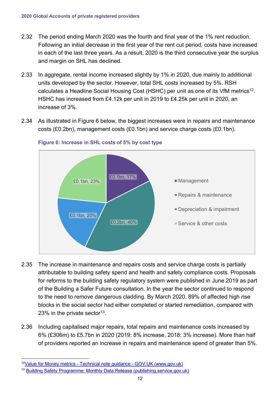- 2.32 The period ending March 2020 was the fourth and final year of the 1% rent reduction. Following an initial decrease in the first year of the rent cut period, costs have increased in each of the last three years. As a result, 2020 is the third consecutive year the surplus and margin on SHL has declined.
- 2.33 In aggregate, rental income increased slightly by 1% in 2020, due mainly to additional units developed by the sector. However, total SHL costs increased by 5%. RSH calculates a Headline Social Housing Cost (HSHC) per unit as one of its VfM metrics<sup>[12](#page-12-0)</sup>. HSHC has increased from £4.12k per unit in 2019 to £4.25k per unit in 2020, an increase of 3%.
- 2.34 As illustrated in Figure 6 below, the biggest increases were in repairs and maintenance costs (£0.2bn), management costs (£0.1bn) and service charge costs (£0.1bn).



#### **Figure 6: Increase in SHL costs of 5% by cost type**

- 2.35 The increase in maintenance and repairs costs and service charge costs is partially attributable to building safety spend and health and safety compliance costs. Proposals for reforms to the building safety regulatory system were published in June 2019 as part of the Building a Safer Future consultation. In the year the sector continued to respond to the need to remove dangerous cladding. By March 2020, 89% of affected high rise blocks in the social sector had either completed or started remediation, compared with 23% in the private sector<sup>[13](#page-12-1)</sup>.
- 2.36 Including capitalised major repairs, total repairs and maintenance costs increased by 6% (£306m) to £5.7bn in 2020 (2019: 8% increase, 2018: 3% increase). More than half of providers reported an increase in repairs and maintenance spend of greater than 5%.

<span id="page-12-0"></span><sup>1</sup>[2Value for Money metrics -](https://www.gov.uk/government/publications/value-for-money-metrics-technical-note) Technical note guidance - GOV.UK (www.gov.uk)

<span id="page-12-1"></span><sup>&</sup>lt;sup>13</sup> [Building Safety Programme: Monthly Data Release \(publishing.service.gov.uk\)](https://assets.publishing.service.gov.uk/government/uploads/system/uploads/attachment_data/file/879610/Building_Safety_Data_Release_March_2020.pdf)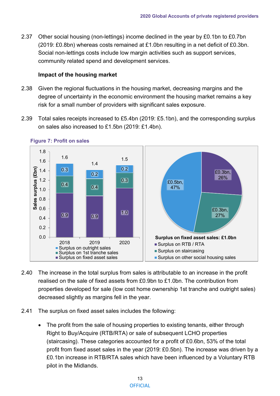2.37 Other social housing (non-lettings) income declined in the year by £0.1bn to £0.7bn (2019: £0.8bn) whereas costs remained at £1.0bn resulting in a net deficit of £0.3bn. Social non-lettings costs include low margin activities such as support services, community related spend and development services.

#### **Impact of the housing market**

- 2.38 Given the regional fluctuations in the housing market, decreasing margins and the degree of uncertainty in the economic environment the housing market remains a key risk for a small number of providers with significant sales exposure.
- 2.39 Total sales receipts increased to £5.4bn (2019: £5.1bn), and the corresponding surplus on sales also increased to £1.5bn (2019: £1.4bn).



**Figure 7: Profit on sales**

- 2.40 The increase in the total surplus from sales is attributable to an increase in the profit realised on the sale of fixed assets from £0.9bn to £1.0bn. The contribution from properties developed for sale (low cost home ownership 1st tranche and outright sales) decreased slightly as margins fell in the year.
- 2.41 The surplus on fixed asset sales includes the following:
	- The profit from the sale of housing properties to existing tenants, either through Right to Buy/Acquire (RTB/RTA) or sale of subsequent LCHO properties (staircasing). These categories accounted for a profit of £0.6bn, 53% of the total profit from fixed asset sales in the year (2019: £0.5bn). The increase was driven by a £0.1bn increase in RTB/RTA sales which have been influenced by a Voluntary RTB pilot in the Midlands.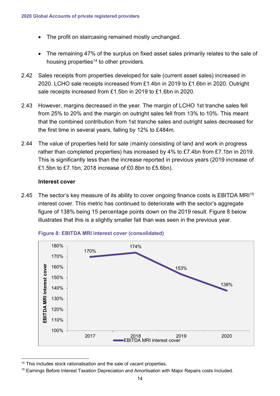- The profit on staircasing remained mostly unchanged.
- The remaining 47% of the surplus on fixed asset sales primarily relates to the sale of housing properties $14$  to other providers.
- 2.42 Sales receipts from properties developed for sale (current asset sales) increased in 2020. LCHO sale receipts increased from £1.4bn in 2019 to £1.6bn in 2020. Outright sale receipts increased from £1.5bn in 2019 to £1.6bn in 2020.
- 2.43 However, margins decreased in the year. The margin of LCHO 1st tranche sales fell from 25% to 20% and the margin on outright sales fell from 13% to 10%. This meant that the combined contribution from 1st tranche sales and outright sales decreased for the first time in several years, falling by 12% to £484m.
- 2.44 The value of properties held for sale (mainly consisting of land and work in progress rather than completed properties) has increased by 4% to £7.4bn from £7.1bn in 2019. This is significantly less than the increase reported in previous years (2019 increase of £1.5bn to £7.1bn, 2018 increase of £0.8bn to £5.6bn).

#### **Interest cover**

2.45 The sector's key measure of its ability to cover ongoing finance costs is EBITDA MRI<sup>15</sup> interest cover. This metric has continued to deteriorate with the sector's aggregate figure of 138% being 15 percentage points down on the 2019 result. Figure 8 below illustrates that this is a slightly smaller fall than was seen in the previous year.





<span id="page-14-0"></span><sup>&</sup>lt;sup>14</sup> This includes stock rationalisation and the sale of vacant properties.

<span id="page-14-1"></span><sup>&</sup>lt;sup>15</sup> Earnings Before Interest Taxation Depreciation and Amortisation with Major Repairs costs Included.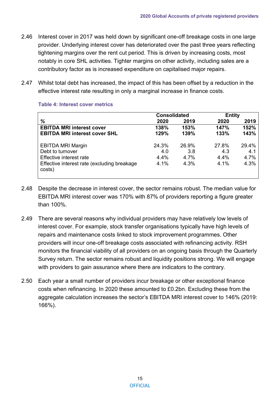- 2.46 Interest cover in 2017 was held down by significant one-off breakage costs in one large provider. Underlying interest cover has deteriorated over the past three years reflecting tightening margins over the rent cut period. This is driven by increasing costs, most notably in core SHL activities. Tighter margins on other activity, including sales are a contributory factor as is increased expenditure on capitalised major repairs.
- 2.47 Whilst total debt has increased, the impact of this has been offset by a reduction in the effective interest rate resulting in only a marginal increase in finance costs.

|                                                                                                                                  | <b>Consolidated</b>          |                              | <b>Entity</b>                |                              |
|----------------------------------------------------------------------------------------------------------------------------------|------------------------------|------------------------------|------------------------------|------------------------------|
| %                                                                                                                                | 2020                         | 2019                         | 2020                         | 2019                         |
| <b>EBITDA MRI interest cover</b>                                                                                                 | 138%                         | 153%                         | 147%                         | 152%                         |
| <b>EBITDA MRI interest cover SHL</b>                                                                                             | 129%                         | 139%                         | 133%                         | 143%                         |
| <b>EBITDA MRI Margin</b><br>Debt to turnover<br>Effective interest rate<br>Effective interest rate (excluding breakage<br>costs) | 24.3%<br>4.0<br>4.4%<br>4.1% | 26.9%<br>3.8<br>4.7%<br>4.3% | 27.8%<br>4.3<br>4.4%<br>4.1% | 29.4%<br>4.1<br>4.7%<br>4.3% |

#### **Table 4: Interest cover metrics**

- 2.48 Despite the decrease in interest cover, the sector remains robust. The median value for EBITDA MRI interest cover was 170% with 87% of providers reporting a figure greater than 100%.
- 2.49 There are several reasons why individual providers may have relatively low levels of interest cover. For example, stock transfer organisations typically have high levels of repairs and maintenance costs linked to stock improvement programmes. Other providers will incur one-off breakage costs associated with refinancing activity. RSH monitors the financial viability of all providers on an ongoing basis through the Quarterly Survey return. The sector remains robust and liquidity positions strong. We will engage with providers to gain assurance where there are indicators to the contrary.
- 2.50 Each year a small number of providers incur breakage or other exceptional finance costs when refinancing. In 2020 these amounted to £0.2bn. Excluding these from the aggregate calculation increases the sector's EBITDA MRI interest cover to 146% (2019: 166%).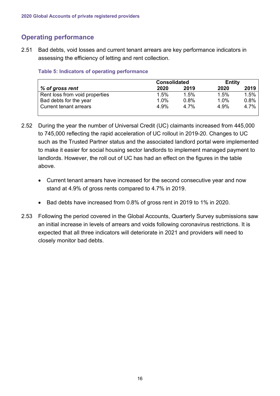# <span id="page-16-0"></span>**Operating performance**

2.51 Bad debts, void losses and current tenant arrears are key performance indicators in assessing the efficiency of letting and rent collection.

## **Table 5: Indicators of operating performance**

|                                | <b>Consolidated</b> |      | <b>Entity</b> |      |
|--------------------------------|---------------------|------|---------------|------|
| % of gross rent                | 2020                | 2019 | 2020          | 2019 |
| Rent loss from void properties | 1.5%                | 1.5% | 1.5%          | 1.5% |
| Bad debts for the year         | 1.0%                | 0.8% | 1.0%          | 0.8% |
| <b>Current tenant arrears</b>  | 4.9%                | 4 7% | 4.9%          | 4.7% |

- 2.52 During the year the number of Universal Credit (UC) claimants increased from 445,000 to 745,000 reflecting the rapid acceleration of UC rollout in 2019-20. Changes to UC such as the Trusted Partner status and the associated landlord portal were implemented to make it easier for social housing sector landlords to implement managed payment to landlords. However, the roll out of UC has had an effect on the figures in the table above.
	- Current tenant arrears have increased for the second consecutive year and now stand at 4.9% of gross rents compared to 4.7% in 2019.
	- Bad debts have increased from 0.8% of gross rent in 2019 to 1% in 2020.
- 2.53 Following the period covered in the Global Accounts, Quarterly Survey submissions saw an initial increase in levels of arrears and voids following coronavirus restrictions. It is expected that all three indicators will deteriorate in 2021 and providers will need to closely monitor bad debts.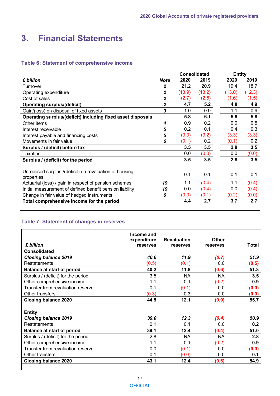# <span id="page-17-0"></span>**3. Financial Statements**

#### **Table 6: Statement of comprehensive income**

|                                                             | <b>Consolidated</b> |        |        | <b>Entity</b> |        |
|-------------------------------------------------------------|---------------------|--------|--------|---------------|--------|
| £ billion                                                   | <b>Note</b>         | 2020   | 2019   | 2020          | 2019   |
| Turnover                                                    | 2                   | 21.2   | 20.9   | 19.4          | 18.7   |
| Operating expenditure                                       | 2                   | (13.9) | (13.2) | (13.0)        | (12.3) |
| Cost of sales                                               | 2                   | (2.7)  | (2.5)  | (1.6)         | (1.5)  |
| <b>Operating surplus/(deficit)</b>                          | $\overline{2}$      | 4.7    | 5.2    | 4.8           | 4.9    |
| Gain/(loss) on disposal of fixed assets                     | 3                   | 1.0    | 0.9    | 1.1           | 0.9    |
| Operating surplus/(deficit) including fixed asset disposals |                     | 5.8    | 6.1    | 5.8           | 5.8    |
| Other items                                                 | 4                   | 0.9    | 0.2    | 0.0           | 0.5    |
| Interest receivable                                         | 5                   | 0.2    | 0.1    | 0.4           | 0.3    |
| Interest payable and financing costs                        | 5                   | (3.3)  | (3.2)  | (3.3)         | (3.3)  |
| Movements in fair value                                     | 6                   | (0.1)  | 0.2    | (0.1)         | 0.2    |
| Surplus / (deficit) before tax                              |                     | 3.5    | 3.5    | 2.8           | 3.5    |
| Taxation                                                    |                     | 0.0    | (0.0)  | 0.0           | (0.0)  |
| Surplus / (deficit) for the period                          |                     | 3.5    | 3.5    | 2.8           | 3.5    |
| Unrealised surplus /(deficit) on revaluation of housing     |                     | 0.1    | 0.1    | 0.1           | 0.1    |
| properties                                                  | 19                  | 1.1    | (0.4)  | 1.1           | (0.4)  |
| Actuarial (loss) / gain in respect of pension schemes       |                     | 0.0    | (0.4)  | 0.0           | (0.4)  |
| Initial measurement of defined benefit pension liability    | 19                  | (0.3)  | (0.1)  |               |        |
| Change in fair value of hedged instruments                  | 6                   |        |        | (0.2)         | (0.0)  |
| Total comprehensive income for the period                   |                     | 4.4    | 2.7    | 3.7           | 2.7    |
|                                                             |                     |        |        |               |        |

# **Table 7: Statement of changes in reserves**

|                                    | Income and<br>expenditure | <b>Revaluation</b> | Other     |       |
|------------------------------------|---------------------------|--------------------|-----------|-------|
| £ billion                          | reserves                  | reserves           | reserves  | Total |
| <b>Consolidated</b>                |                           |                    |           |       |
| <b>Closing balance 2019</b>        | 40.6                      | 11.9               | (0.7)     | 51.9  |
| <b>Restatements</b>                | (0.5)                     | (0.1)              | 0.0       | (0.5) |
| <b>Balance at start of period</b>  | 40.2                      | 11.8               | (0.6)     | 51.3  |
| Surplus / (deficit) for the period | 3.5                       | <b>NA</b>          | <b>NA</b> | 3.5   |
| Other comprehensive income         | 1.1                       | 0.1                | (0.2)     | 0.9   |
| Transfer from revaluation reserve  | 0.1                       | (0.1)              | 0.0       | (0.0) |
| Other transfers                    | (0.3)                     | 0.3                | 0.0       | (0.0) |
| <b>Closing balance 2020</b>        | 44.5                      | 12.1               | (0.9)     | 55.7  |
|                                    |                           |                    |           |       |
| <b>Entity</b>                      |                           |                    |           |       |
| <b>Closing balance 2019</b>        | 39.0                      | 12.3               | (0.4)     | 50.9  |
| <b>Restatements</b>                | 0.1                       | 0.1                | 0.0       | 0.2   |
| <b>Balance at start of period</b>  | 39.1                      | 12.4               | (0.4)     | 51.0  |
| Surplus / (deficit) for the period | 2.8                       | <b>NA</b>          | NA        | 2.8   |
| Other comprehensive income         | 1.1                       | 0.1                | (0.2)     | 0.9   |
| Transfer from revaluation reserve  | 0.0                       | (0.1)              | 0.0       | (0.0) |
| Other transfers                    | 0.1                       | (0.0)              | 0.0       | 0.1   |
| <b>Closing balance 2020</b>        | 43.1                      | 12.4               | (0.6)     | 54.9  |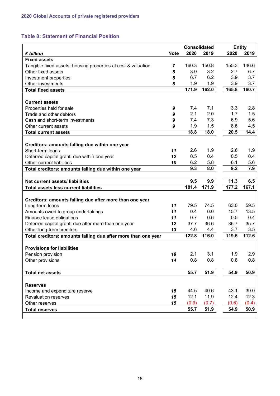# **Table 8: Statement of Financial Position**

|                                                               |             | <b>Consolidated</b> |       |       | <b>Entity</b> |
|---------------------------------------------------------------|-------------|---------------------|-------|-------|---------------|
| £ billion                                                     | <b>Note</b> | 2020                | 2019  | 2020  | 2019          |
| <b>Fixed assets</b>                                           |             |                     |       |       |               |
| Tangible fixed assets: housing properties at cost & valuation | 7           | 160.3               | 150.8 | 155.3 | 146.6         |
| Other fixed assets                                            | 8           | 3.0                 | 3.2   | 2.7   | 6.7           |
| Investment properties                                         | 8           | 6.7                 | 6.2   | 3.9   | 3.7           |
| Other investments                                             | 8           | 1.9                 | 1.9   | 3.9   | 3.7           |
| <b>Total fixed assets</b>                                     |             | 171.9               | 162.0 | 165.8 | 160.7         |
|                                                               |             |                     |       |       |               |
| <b>Current assets</b>                                         |             |                     |       |       |               |
| Properties held for sale                                      | 9           | 7.4                 | 7.1   | 3.3   | 2.8           |
| Trade and other debtors                                       | 9           | 2.1                 | 2.0   | 1.7   | 1.5           |
| Cash and short-term investments                               | 9           | 7.4                 | 7.3   | 6.9   | 5.6           |
| Other current assets                                          | 9           | 1.9                 | 1.5   | 8.6   | 4.5           |
| <b>Total current assets</b>                                   |             | 18.8                | 18.0  | 20.5  | 14.4          |
|                                                               |             |                     |       |       |               |
| Creditors: amounts falling due within one year                |             |                     |       |       |               |
| Short-term loans                                              | 11          | 2.6                 | 1.9   | 2.6   | 1.9           |
| Deferred capital grant: due within one year                   | 12          | 0.5                 | 0.4   | 0.5   | 0.4           |
| Other current liabilities                                     | 10          | 6.2                 | 5.8   | 6.1   | 5.6           |
| Total creditors: amounts falling due within one year          |             | 9.3                 | 8.0   | 9.2   | 7.9           |
|                                                               |             |                     |       |       |               |
| Net current assets/ liabilities                               |             | 9.5                 | 9.9   | 11.3  | 6.5           |
| <b>Total assets less current liabilities</b>                  |             | 181.4               | 171.9 | 177.2 | 167.1         |
|                                                               |             |                     |       |       |               |
| Creditors: amounts falling due after more than one year       |             |                     |       |       |               |
| Long-term loans                                               | 11          | 79.5                | 74.5  | 63.0  | 59.5          |
| Amounts owed to group undertakings                            | 11          | 0.4                 | 0.0   | 15.7  | 13.5          |
| Finance lease obligations                                     | 11          | 0.7                 | 0.6   | 0.5   | 0.4           |
| Deferred capital grant: due after more than one year          | 12          | 37.7                | 36.6  | 36.7  | 35.7          |
| Other long-term creditors                                     | 13          | 4.6                 | 4.4   | 3.7   | 3.5           |
| Total creditors: amounts falling due after more than one year |             | 122.8               | 116.0 | 119.6 | 112.6         |
|                                                               |             |                     |       |       |               |
| <b>Provisions for liabilities</b>                             |             |                     |       |       |               |
| Pension provision                                             | 19          | 2.1                 | 3.1   | 1.9   | 2.9           |
| Other provisions                                              | 14          | 0.8                 | 0.8   | 0.8   | 0.8           |
|                                                               |             |                     |       |       |               |
| <b>Total net assets</b>                                       |             | 55.7                | 51.9  | 54.9  | 50.9          |
| <b>Reserves</b>                                               |             |                     |       |       |               |
| Income and expenditure reserve                                | 15          | 44.5                | 40.6  | 43.1  | 39.0          |
| <b>Revaluation reserves</b>                                   | 15          | 12.1                | 11.9  | 12.4  | 12.3          |
| Other reserves                                                | 15          | (0.9)               | (0.7) | (0.6) | (0.4)         |
| <b>Total reserves</b>                                         |             | 55.7                | 51.9  | 54.9  | 50.9          |
|                                                               |             |                     |       |       |               |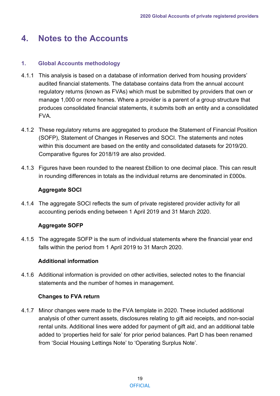# <span id="page-19-0"></span>**4. Notes to the Accounts**

# <span id="page-19-1"></span>**1. Global Accounts methodology**

- 4.1.1 This analysis is based on a database of information derived from housing providers' audited financial statements. The database contains data from the annual account regulatory returns (known as FVAs) which must be submitted by providers that own or manage 1,000 or more homes. Where a provider is a parent of a group structure that produces consolidated financial statements, it submits both an entity and a consolidated FVA.
- 4.1.2 These regulatory returns are aggregated to produce the Statement of Financial Position (SOFP), Statement of Changes in Reserves and SOCI. The statements and notes within this document are based on the entity and consolidated datasets for 2019/20. Comparative figures for 2018/19 are also provided.
- 4.1.3 Figures have been rounded to the nearest £billion to one decimal place. This can result in rounding differences in totals as the individual returns are denominated in £000s.

# **Aggregate SOCI**

4.1.4 The aggregate SOCI reflects the sum of private registered provider activity for all accounting periods ending between 1 April 2019 and 31 March 2020.

# **Aggregate SOFP**

4.1.5 The aggregate SOFP is the sum of individual statements where the financial year end falls within the period from 1 April 2019 to 31 March 2020.

# **Additional information**

4.1.6 Additional information is provided on other activities, selected notes to the financial statements and the number of homes in management.

# **Changes to FVA return**

4.1.7 Minor changes were made to the FVA template in 2020. These included additional analysis of other current assets, disclosures relating to gift aid receipts, and non-social rental units. Additional lines were added for payment of gift aid, and an additional table added to 'properties held for sale' for prior period balances. Part D has been renamed from 'Social Housing Lettings Note' to 'Operating Surplus Note'.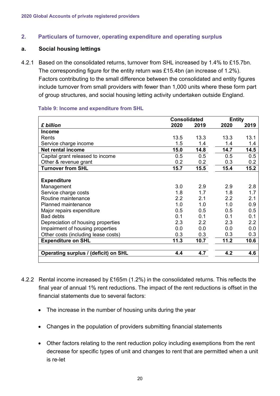# <span id="page-20-0"></span>**2. Particulars of turnover, operating expenditure and operating surplus**

#### **a. Social housing lettings**

4.2.1 Based on the consolidated returns, turnover from SHL increased by 1.4% to £15.7bn. The corresponding figure for the entity return was £15.4bn (an increase of 1.2%). Factors contributing to the small difference between the consolidated and entity figures include turnover from small providers with fewer than 1,000 units where these form part of group structures, and social housing letting activity undertaken outside England.

#### **Table 9: Income and expenditure from SHL**

|                                      |      | <b>Consolidated</b> |                | <b>Entity</b> |
|--------------------------------------|------|---------------------|----------------|---------------|
| £ billion                            | 2020 | 2019                | 2020           | 2019          |
| Income                               |      |                     |                |               |
| Rents                                | 13.5 | 13.3                | 13.3           | 13.1          |
| Service charge income                | 1.5  | 1.4                 | 1.4            | 1.4           |
| <b>Net rental income</b>             | 15.0 | 14.8                | 14.7           | 14.5          |
| Capital grant released to income     | 0.5  | 0.5                 | 0.5            | 0.5           |
| Other & revenue grant                | 0.2  | 0.2                 | 0.3            | 0.2           |
| <b>Turnover from SHL</b>             | 15.7 | 15.5                | 15.4           | 15.2          |
|                                      |      |                     |                |               |
| <b>Expenditure</b>                   |      |                     |                |               |
| Management                           | 3.0  | 29                  | 2.9            | 2.8           |
| Service charge costs                 | 1.8  | 1.7                 | 1.8            | 1.7           |
| Routine maintenance                  | 2.2  | 2.1                 | 2.2            | 2.1           |
| <b>Planned maintenance</b>           | 1.0  | 1.0                 | 1 <sub>0</sub> | 0.9           |
| Major repairs expenditure            | 0.5  | 0.5                 | 05             | 0.5           |
| <b>Bad debts</b>                     | 0.1  | 0.1                 | 0 <sub>1</sub> | 0.1           |
| Depreciation of housing properties   | 2.3  | 22                  | 23             | 2.2           |
| Impairment of housing properties     | 0.0  | 0.0                 | 0.0            | 0.0           |
| Other costs (including lease costs)  | 0.3  | 0.3                 | 0.3            | 0.3           |
| <b>Expenditure on SHL</b>            | 11.3 | 10.7                | 11.2           | 10.6          |
|                                      |      |                     |                |               |
| Operating surplus / (deficit) on SHL | 4.4  | 4.7                 | 4.2            | 4.6           |
|                                      |      |                     |                |               |

- 4.2.2 Rental income increased by £165m (1.2%) in the consolidated returns. This reflects the final year of annual 1% rent reductions. The impact of the rent reductions is offset in the financial statements due to several factors:
	- The increase in the number of housing units during the year
	- Changes in the population of providers submitting financial statements
	- Other factors relating to the rent reduction policy including exemptions from the rent decrease for specific types of unit and changes to rent that are permitted when a unit is re-let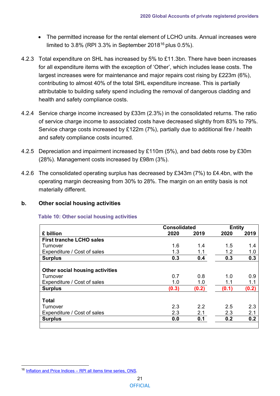- The permitted increase for the rental element of LCHO units. Annual increases were limited to  $3.8\%$  (RPI  $3.3\%$  in September 2018<sup>[16](#page-21-0)</sup> plus  $0.5\%$ ).
- 4.2.3 Total expenditure on SHL has increased by 5% to £11.3bn. There have been increases for all expenditure items with the exception of 'Other', which includes lease costs. The largest increases were for maintenance and major repairs cost rising by £223m (6%), contributing to almost 40% of the total SHL expenditure increase. This is partially attributable to building safety spend including the removal of dangerous cladding and health and safety compliance costs.
- 4.2.4 Service charge income increased by £33m (2.3%) in the consolidated returns. The ratio of service charge income to associated costs have decreased slightly from 83% to 79%. Service charge costs increased by £122m (7%), partially due to additional fire / health and safety compliance costs incurred.
- 4.2.5 Depreciation and impairment increased by £110m (5%), and bad debts rose by £30m (28%). Management costs increased by £98m (3%).
- 4.2.6 The consolidated operating surplus has decreased by £343m (7%) to £4.4bn, with the operating margin decreasing from 30% to 28%. The margin on an entity basis is not materially different.

# **b. Other social housing activities**

#### **Table 10: Other social housing activities**

|                                               | <b>Consolidated</b> |            | <b>Entity</b> |            |
|-----------------------------------------------|---------------------|------------|---------------|------------|
| £ billion                                     | 2020                | 2019       | 2020          | 2019       |
| <b>First tranche LCHO sales</b>               |                     |            |               |            |
| Turnover                                      | 1.6                 | 1.4        | 1.5           | 1.4        |
| Expenditure / Cost of sales                   | 1.3                 | 1.1        | 1.2           | 1.0        |
| <b>Surplus</b>                                | 0.3                 | 0.4        | 0.3           | 0.3        |
|                                               |                     |            |               |            |
| <b>Other social housing activities</b>        |                     |            |               |            |
| Turnover                                      | 0.7                 | 0.8        | 1.0           | 0.9        |
| Expenditure / Cost of sales                   | 1.0                 | 1.0        | 1.1           | 1.1        |
| <b>Surplus</b>                                | (0.3)               | (0.2)      | (0.1)         | (0.2)      |
| <b>Total</b>                                  |                     |            |               |            |
| Turnover                                      | 2.3                 | 2.2        | 2.5           | 2.3        |
|                                               |                     |            |               |            |
|                                               |                     |            |               |            |
|                                               |                     |            |               |            |
| Expenditure / Cost of sales<br><b>Surplus</b> | 2.3<br>0.0          | 2.1<br>0.1 | 2.3<br>0.2    | 2.1<br>0.2 |

<span id="page-21-0"></span><sup>16</sup> Inflation and Price Indices – [RPI all items time series, ONS.](https://www.ons.gov.uk/economy/inflationandpriceindices/timeseries/czbh/mm23)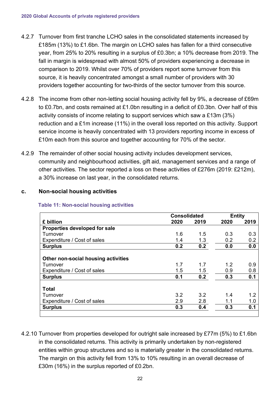- 4.2.7 Turnover from first tranche LCHO sales in the consolidated statements increased by £185m (13%) to £1.6bn. The margin on LCHO sales has fallen for a third consecutive year, from 25% to 20% resulting in a surplus of £0.3bn; a 10% decrease from 2019. The fall in margin is widespread with almost 50% of providers experiencing a decrease in comparison to 2019. Whilst over 70% of providers report some turnover from this source, it is heavily concentrated amongst a small number of providers with 30 providers together accounting for two-thirds of the sector turnover from this source.
- 4.2.8 The income from other non-letting social housing activity fell by 9%, a decrease of £69m to £0.7bn, and costs remained at £1.0bn resulting in a deficit of £0.3bn. Over half of this activity consists of income relating to support services which saw a £13m (3%) reduction and a £1m increase (11%) in the overall loss reported on this activity. Support service income is heavily concentrated with 13 providers reporting income in excess of £10m each from this source and together accounting for 70% of the sector.
- 4.2.9 The remainder of other social housing activity includes development services, community and neighbourhood activities, gift aid, management services and a range of other activities. The sector reported a loss on these activities of £276m (2019: £212m), a 30% increase on last year, in the consolidated returns.

#### **c. Non-social housing activities**

|                                     | <b>Consolidated</b> |      |      | <b>Entity</b> |  |
|-------------------------------------|---------------------|------|------|---------------|--|
| £ billion                           | 2020                | 2019 | 2020 | 2019          |  |
| Properties developed for sale       |                     |      |      |               |  |
| Turnover                            | 1.6                 | 1.5  | 0.3  | 0.3           |  |
| Expenditure / Cost of sales         | 1.4                 | 1.3  | 0.2  | 0.2           |  |
| <b>Surplus</b>                      | 0.2                 | 0.2  | 0.0  | 0.0           |  |
|                                     |                     |      |      |               |  |
| Other non-social housing activities |                     |      |      |               |  |
| Turnover                            | 1.7                 | 1.7  | 1.2  | 0.9           |  |
| Expenditure / Cost of sales         | 1.5                 | 1.5  | 0.9  | 0.8           |  |
| <b>Surplus</b>                      | 0.1                 | 0.2  | 0.3  | 0.1           |  |
| <b>Total</b>                        |                     |      |      |               |  |
| Turnover                            | 3.2                 | 3.2  | 1.4  | 1.2           |  |
| Expenditure / Cost of sales         | 2.9                 | 2.8  | 1.1  | 1.0           |  |
| <b>Surplus</b>                      | 0.3                 | 0.4  | 0.3  | 0.1           |  |

#### **Table 11: Non-social housing activities**

4.2.10 Turnover from properties developed for outright sale increased by £77m (5%) to £1.6bn in the consolidated returns. This activity is primarily undertaken by non-registered entities within group structures and so is materially greater in the consolidated returns. The margin on this activity fell from 13% to 10% resulting in an overall decrease of £30m (16%) in the surplus reported of £0.2bn.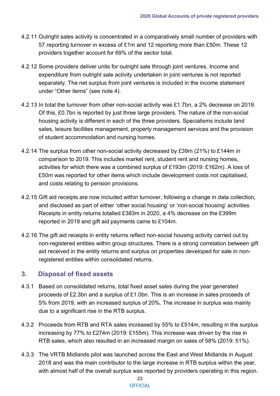- 4.2.11 Outright sales activity is concentrated in a comparatively small number of providers with 57 reporting turnover in excess of £1m and 12 reporting more than £50m. These 12 providers together account for 69% of the sector total.
- 4.2.12 Some providers deliver units for outright sale through joint ventures. Income and expenditure from outright sale activity undertaken in joint ventures is not reported separately. The net surplus from joint ventures is included in the income statement under "Other items" (see [note 4\)](#page-25-0).
- 4.2.13 In total the turnover from other non-social activity was £1.7bn, a 2% decrease on 2019. Of this, £0.7bn is reported by just three large providers. The nature of the non-social housing activity is different in each of the three providers. Specialisms include land sales, leisure facilities management, property management services and the provision of student accommodation and nursing homes.
- 4.2.14 The surplus from other non-social activity decreased by £39m (21%) to £144m in comparison to 2019. This includes market rent, student rent and nursing homes, activities for which there was a combined surplus of £193m (2019: £162m). A loss of £50m was reported for other items which include development costs not capitalised, and costs relating to pension provisions.
- 4.2.15 Gift aid receipts are now included within turnover, following a change in data collection, and disclosed as part of either 'other social housing' or 'non-social housing' activities. Receipts in entity returns totalled £383m in 2020, a 4% decrease on the £399m reported in 2019 and gift aid payments came to £104m.
- 4.2.16 The gift aid receipts in entity returns reflect non-social housing activity carried out by non-registered entities within group structures. There is a strong correlation between gift aid received in the entity returns and surplus on properties developed for sale in nonregistered entities within consolidated returns.

# <span id="page-23-0"></span>**3. Disposal of fixed assets**

- 4.3.1 Based on consolidated returns, total fixed asset sales during the year generated proceeds of £2.3bn and a surplus of £1.0bn. This is an increase in sales proceeds of 5% from 2019, with an increased surplus of 20%. The increase in surplus was mainly due to a significant rise in the RTB surplus.
- 4.3.2 Proceeds from RTB and RTA sales increased by 55% to £514m, resulting in the surplus increasing by 77% to £274m (2019: £155m). This increase was driven by the rise in RTB sales, which also resulted in an increased margin on sales of 58% (2019: 51%).
- 4.3.3 The VRTB Midlands pilot was launched across the East and West Midlands in August 2018 and was the main contributor to the large increase in RTB surplus within the year, with almost half of the overall surplus was reported by providers operating in this region.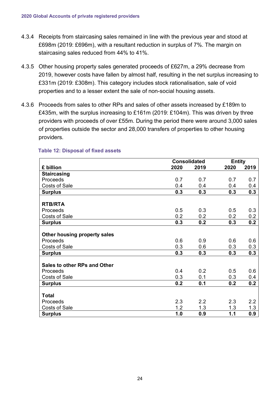- 4.3.4 Receipts from staircasing sales remained in line with the previous year and stood at £698m (2019: £696m), with a resultant reduction in surplus of 7%. The margin on staircasing sales reduced from 44% to 41%.
- 4.3.5 Other housing property sales generated proceeds of £627m, a 29% decrease from 2019, however costs have fallen by almost half, resulting in the net surplus increasing to £331m (2019: £308m). This category includes stock rationalisation, sale of void properties and to a lesser extent the sale of non-social housing assets.
- 4.3.6 Proceeds from sales to other RPs and sales of other assets increased by £189m to £435m, with the surplus increasing to £161m (2019: £104m). This was driven by three providers with proceeds of over £55m. During the period there were around 3,000 sales of properties outside the sector and 28,000 transfers of properties to other housing providers.

|                                     | <b>Consolidated</b> |      | <b>Entity</b> |      |
|-------------------------------------|---------------------|------|---------------|------|
| £ billion                           | 2020                | 2019 | 2020          | 2019 |
| <b>Staircasing</b>                  |                     |      |               |      |
| Proceeds                            | 0.7                 | 0.7  | 0.7           | 0.7  |
| <b>Costs of Sale</b>                | 0.4                 | 0.4  | 0.4           | 0.4  |
| <b>Surplus</b>                      | 0.3                 | 0.3  | 0.3           | 0.3  |
|                                     |                     |      |               |      |
| <b>RTB/RTA</b>                      |                     |      |               |      |
| Proceeds                            | 0.5                 | 0.3  | 0.5           | 0.3  |
| <b>Costs of Sale</b>                | 0.2                 | 0.2  | 0.2           | 0.2  |
| <b>Surplus</b>                      | 0.3                 | 0.2  | 0.3           | 0.2  |
|                                     |                     |      |               |      |
| Other housing property sales        |                     |      |               |      |
| Proceeds                            | 0.6                 | 0.9  | 0.6           | 0.6  |
| <b>Costs of Sale</b>                | 0.3                 | 0.6  | 0.3           | 0.3  |
| <b>Surplus</b>                      | 0.3                 | 0.3  | 0.3           | 0.3  |
|                                     |                     |      |               |      |
| <b>Sales to other RPs and Other</b> |                     |      |               |      |
| Proceeds                            | 0.4                 | 0.2  | 0.5           | 0.6  |
| <b>Costs of Sale</b>                | 0.3                 | 0.1  | 0.3           | 0.4  |
| <b>Surplus</b>                      | 0.2                 | 0.1  | 0.2           | 0.2  |
|                                     |                     |      |               |      |
| <b>Total</b>                        |                     |      |               |      |
| Proceeds                            | 2.3                 | 2.2  | 2.3           | 2.2  |
| <b>Costs of Sale</b>                | 1.2                 | 1.3  | 1.3           | 1.3  |
| <b>Surplus</b>                      | 1.0                 | 0.9  | 1.1           | 0.9  |

#### **Table 12: Disposal of fixed assets**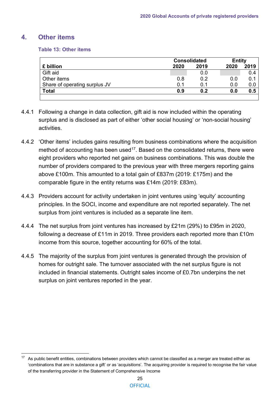# <span id="page-25-0"></span>**4. Other items**

#### **Table 13: Other items**

|                               |      | <b>Consolidated</b> |      | <b>Entity</b> |
|-------------------------------|------|---------------------|------|---------------|
| £ billion                     | 2020 | 2019                | 2020 | 2019          |
| Gift aid                      |      | 0.0                 |      | 0.4           |
| Other items                   | 0.8  | 0.2                 | 0.0  | 0.1           |
| Share of operating surplus JV | 0.1  | 0.1                 | 0.0  | 0.0           |
| <b>Total</b>                  | 0.9  | 0.2                 | 0.0  | 0.5           |
|                               |      |                     |      |               |

- 4.4.1 Following a change in data collection, gift aid is now included within the operating surplus and is disclosed as part of either 'other social housing' or 'non-social housing' activities.
- 4.4.2 'Other items' includes gains resulting from business combinations where the acquisition method of accounting has been used<sup>[17](#page-25-1)</sup>. Based on the consolidated returns, there were eight providers who reported net gains on business combinations. This was double the number of providers compared to the previous year with three mergers reporting gains above £100m. This amounted to a total gain of £837m (2019: £175m) and the comparable figure in the entity returns was £14m (2019: £83m).
- 4.4.3 Providers account for activity undertaken in joint ventures using 'equity' accounting principles. In the SOCI, income and expenditure are not reported separately. The net surplus from joint ventures is included as a separate line item.
- 4.4.4 The net surplus from joint ventures has increased by £21m (29%) to £95m in 2020, following a decrease of £11m in 2019. Three providers each reported more than £10m income from this source, together accounting for 60% of the total.
- 4.4.5 The majority of the surplus from joint ventures is generated through the provision of homes for outright sale. The turnover associated with the net surplus figure is not included in financial statements. Outright sales income of £0.7bn underpins the net surplus on joint ventures reported in the year.

<span id="page-25-1"></span>As public benefit entities, combinations between providers which cannot be classified as a merger are treated either as 'combinations that are in substance a gift' or as 'acquisitions'. The acquiring provider is required to recognise the fair value of the transferring provider in the Statement of Comprehensive Income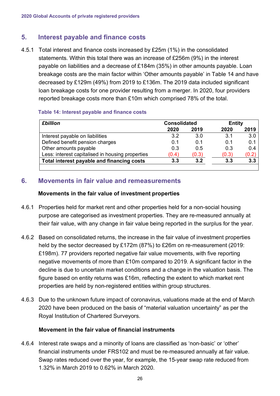# <span id="page-26-0"></span>**5. Interest payable and finance costs**

4.5.1 Total interest and finance costs increased by £25m (1%) in the consolidated statements. Within this total there was an increase of £256m (9%) in the interest payable on liabilities and a decrease of £184m (35%) in other amounts payable. Loan breakage costs are the main factor within 'Other amounts payable' in Table 14 and have decreased by £129m (49%) from 2019 to £136m. The 2019 data included significant loan breakage costs for one provider resulting from a merger. In 2020, four providers reported breakage costs more than £10m which comprised 78% of the total.

#### **Table 14: Interest payable and finance costs**

| <b>£billion</b>                                  | <b>Consolidated</b> |       | <b>Entity</b> |       |
|--------------------------------------------------|---------------------|-------|---------------|-------|
|                                                  | 2020                | 2019  | 2020          | 2019  |
| Interest payable on liabilities                  | 3.2                 | 3.0   | 3.1           | 3.0   |
| Defined benefit pension charges                  | 0.1                 | 0.1   | 0.1           | 0.1   |
| Other amounts payable                            | 0.3                 | 0.5   | 0.3           | 0.4   |
| Less: interest capitalised in housing properties | (0.4)               | (0.3) | (0.3)         | (0.2) |
| Total interest payable and financing costs       | 3.3                 | 3.2   | 3.3           | 3.3   |

# <span id="page-26-1"></span>**6. Movements in fair value and remeasurements**

#### **Movements in the fair value of investment properties**

- 4.6.1 Properties held for market rent and other properties held for a non-social housing purpose are categorised as investment properties. They are re-measured annually at their fair value, with any change in fair value being reported in the surplus for the year.
- 4.6.2 Based on consolidated returns, the increase in the fair value of investment properties held by the sector decreased by £172m (87%) to £26m on re-measurement (2019: £198m). 77 providers reported negative fair value movements, with five reporting negative movements of more than £10m compared to 2019. A significant factor in the decline is due to uncertain market conditions and a change in the valuation basis. The figure based on entity returns was £16m, reflecting the extent to which market rent properties are held by non-registered entities within group structures.
- 4.6.3 Due to the unknown future impact of coronavirus, valuations made at the end of March 2020 have been produced on the basis of "material valuation uncertainty" as per the Royal Institution of Chartered Surveyors.

# **Movement in the fair value of financial instruments**

4.6.4 Interest rate swaps and a minority of loans are classified as 'non-basic' or 'other' financial instruments under FRS102 and must be re-measured annually at fair value. Swap rates reduced over the year, for example, the 15-year swap rate reduced from 1.32% in March 2019 to 0.62% in March 2020.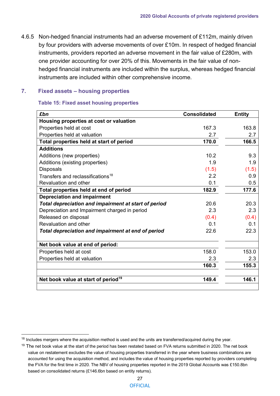4.6.5 Non-hedged financial instruments had an adverse movement of £112m, mainly driven by four providers with adverse movements of over £10m. In respect of hedged financial instruments, providers reported an adverse movement in the fair value of £280m, with one provider accounting for over 20% of this. Movements in the fair value of nonhedged financial instruments are included within the surplus, whereas hedged financial instruments are included within other comprehensive income.

## <span id="page-27-0"></span>**7. Fixed assets – housing properties**

#### **Table 15: Fixed asset housing properties**

| £bn                                                  | <b>Consolidated</b> | <b>Entity</b> |
|------------------------------------------------------|---------------------|---------------|
| Housing properties at cost or valuation              |                     |               |
| Properties held at cost                              | 167.3               | 163.8         |
| Properties held at valuation                         | 2.7                 | 2.7           |
| Total properties held at start of period             | 170.0               | 166.5         |
| <b>Additions</b>                                     |                     |               |
| Additions (new properties)                           | 10.2                | 9.3           |
| Additions (existing properties)                      | 1.9                 | 1.9           |
| <b>Disposals</b>                                     | (1.5)               | (1.5)         |
| Transfers and reclassifications <sup>18</sup>        | 2.2                 | 0.9           |
| Revaluation and other                                | 0.1                 | 0.5           |
| Total properties held at end of period               | 182.9               | 177.6         |
| <b>Depreciation and impairment</b>                   |                     |               |
| Total depreciation and impairment at start of period | 20.6                | 20.3          |
| Depreciation and Impairment charged in period        | 2.3                 | 2.3           |
| Released on disposal                                 | (0.4)               | (0.4)         |
| Revaluation and other                                | 0.1                 | 0.1           |
| Total depreciation and impairment at end of period   | 22.6                | 22.3          |
| Net book value at end of period:                     |                     |               |
| Properties held at cost                              | 158.0               | 153.0         |
| Properties held at valuation                         | 2.3                 | 2.3           |
|                                                      | 160.3               | 155.3         |
| Net book value at start of period <sup>19</sup>      | 149.4               | 146.1         |
|                                                      |                     |               |

<span id="page-27-1"></span><sup>&</sup>lt;sup>18</sup> Includes mergers where the acquisition method is used and the units are transferred/acquired during the year.

<span id="page-27-2"></span><sup>&</sup>lt;sup>19</sup> The net book value at the start of the period has been restated based on FVA returns submitted in 2020. The net book value on restatement excludes the value of housing properties transferred in the year where business combinations are accounted for using the acquisition method, and includes the value of housing properties reported by providers completing the FVA for the first time in 2020. The NBV of housing properties reported in the 2019 Global Accounts was £150.8bn based on consolidated returns (£146.6bn based on entity returns).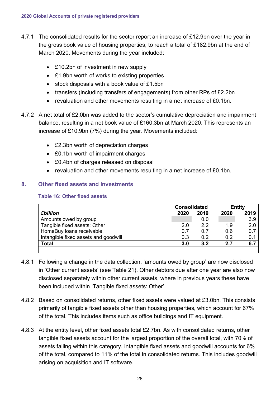- 4.7.1 The consolidated results for the sector report an increase of £12.9bn over the year in the gross book value of housing properties, to reach a total of £182.9bn at the end of March 2020. Movements during the year included:
	- £10.2bn of investment in new supply
	- £1.9bn worth of works to existing properties
	- stock disposals with a book value of £1.5bn
	- transfers (including transfers of engagements) from other RPs of £2.2bn
	- revaluation and other movements resulting in a net increase of £0.1bn.
- 4.7.2 A net total of £2.0bn was added to the sector's cumulative depreciation and impairment balance, resulting in a net book value of £160.3bn at March 2020. This represents an increase of £10.9bn (7%) during the year. Movements included:
	- £2.3bn worth of depreciation charges
	- £0.1bn worth of impairment charges
	- £0.4bn of charges released on disposal
	- revaluation and other movements resulting in a net increase of £0.1bn.

# <span id="page-28-0"></span>**8. Other fixed assets and investments**

#### **Table 16: Other fixed assets**

|                                      |      | <b>Consolidated</b> |      | <b>Entity</b> |
|--------------------------------------|------|---------------------|------|---------------|
| <b>£billion</b>                      | 2020 | 2019                | 2020 | 2019          |
| Amounts owed by group                |      | 0.0                 |      | 3.9           |
| Tangible fixed assets: Other         | 2.0  | 22                  | 1.9  | 2.0           |
| HomeBuy loans receivable             | 0.7  | 0.7                 | 0.6  | 0.7           |
| Intangible fixed assets and goodwill | 0.3  | 0.2                 | 0.2  | 0.1           |
| <b>Total</b>                         | 3.0  | 3.2                 | 2.7  | 6.7           |
|                                      |      |                     |      |               |

- 4.8.1 Following a change in the data collection, 'amounts owed by group' are now disclosed in 'Other current assets' (see Table 21). Other debtors due after one year are also now disclosed separately within other current assets, where in previous years these have been included within 'Tangible fixed assets: Other'.
- 4.8.2 Based on consolidated returns, other fixed assets were valued at £3.0bn. This consists primarily of tangible fixed assets other than housing properties, which account for 67% of the total. This includes items such as office buildings and IT equipment.
- 4.8.3 At the entity level, other fixed assets total £2.7bn. As with consolidated returns, other tangible fixed assets account for the largest proportion of the overall total, with 70% of assets falling within this category. Intangible fixed assets and goodwill accounts for 6% of the total, compared to 11% of the total in consolidated returns. This includes goodwill arising on acquisition and IT software.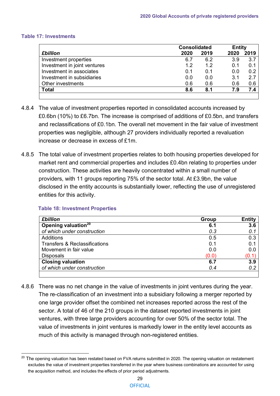#### **Table 17: Investments**

|                              | <b>Consolidated</b> | <b>Entity</b> |      |      |
|------------------------------|---------------------|---------------|------|------|
| <b>£billion</b>              | 2020                | 2019          | 2020 | 2019 |
| Investment properties        | 6.7                 | 6.2           | 3.9  | 3.7  |
| Investment in joint ventures | 1.2                 | 1.2           | 0.1  | 0.1  |
| Investment in associates     | 0.1                 | 0.1           | 0.0  | 0.2  |
| Investment in subsidiaries   | 0.0                 | 0.0           | 3.1  | 27   |
| Other investments            | 0.6                 | 0.6           | 0.6  | 0.6  |
| <b>Total</b>                 | 8.6                 | 8.1           | 7.9  | 7.4  |
|                              |                     |               |      |      |

- 4.8.4 The value of investment properties reported in consolidated accounts increased by £0.6bn (10%) to £6.7bn. The increase is comprised of additions of £0.5bn, and transfers and reclassifications of £0.1bn. The overall net movement in the fair value of investment properties was negligible, although 27 providers individually reported a revaluation increase or decrease in excess of £1m.
- 4.8.5 The total value of investment properties relates to both housing properties developed for market rent and commercial properties and includes £0.4bn relating to properties under construction. These activities are heavily concentrated within a small number of providers, with 11 groups reporting 75% of the sector total. At £3.9bn, the value disclosed in the entity accounts is substantially lower, reflecting the use of unregistered entities for this activity.

| Group | <b>Entity</b> |
|-------|---------------|
| 6.1   | 3.6           |
| 0.3   | 0.1           |
| 0.5   | 0.3           |
| 0.1   | 0.1           |
| 0.0   | 0.0           |
| (0.0) | (0.1)         |
| 6.7   | 3.9           |
| 0.4   | 0.2           |
|       |               |

#### **Table 18: Investment Properties**

4.8.6 There was no net change in the value of investments in joint ventures during the year. The re-classification of an investment into a subsidiary following a merger reported by one large provider offset the combined net increases reported across the rest of the sector. A total of 46 of the 210 groups in the dataset reported investments in joint ventures, with three large providers accounting for over 50% of the sector total. The value of investments in joint ventures is markedly lower in the entity level accounts as much of this activity is managed through non-registered entities.

<span id="page-29-0"></span><sup>&</sup>lt;sup>20</sup> The opening valuation has been restated based on FVA returns submitted in 2020. The opening valuation on restatement excludes the value of investment properties transferred in the year where business combinations are accounted for using the acquisition method, and includes the effects of prior period adjustments.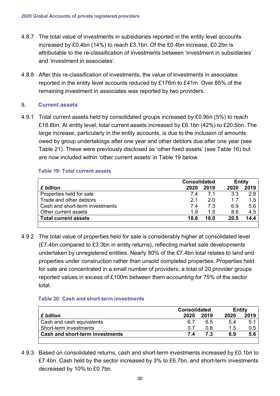- 4.8.7 The total value of investments in subsidiaries reported in the entity level accounts increased by £0.4bn (14%) to reach £3.1bn. Of the £0.4bn increase, £0.2bn is attributable to the re-classification of investments between 'investment in subsidiaries' and 'investment in associates'.
- 4.8.8 After this re-classification of investments, the value of investments in associates reported in the entity level accounts reduced by £176m to £41m. Over 85% of the remaining investment in associates was reported by two providers.

#### <span id="page-30-0"></span>**9. Current assets**

4.9.1 Total current assets held by consolidated groups increased by £0.9bn (5%) to reach £18.8bn. At entity level, total current assets increased by £6.1bn (42%) to £20.5bn. The large increase, particularly in the entity accounts, is due to the inclusion of amounts owed by group undertakings after one year and other debtors due after one year (see Table 21). These were previously disclosed as 'other fixed assets' (see Table 16) but are now included within 'other current assets' in Table 19 below.

#### **Table 19: Total current assets**

|      |                               | <b>Entity</b> |      |
|------|-------------------------------|---------------|------|
| 2020 | 2019                          | 2020          | 2019 |
|      | 71                            | 3.3           | 2.8  |
|      | 20                            | 17            | 1.5  |
|      | 7 3                           | 6.9           | 5.6  |
|      | 15                            | 8.6           | 4.5  |
|      | 18.0                          | 20.5          | 14.4 |
|      | 74<br>21<br>74<br>1.9<br>18.8 |               |      |

4.9.2 The total value of properties held for sale is considerably higher at consolidated level (£7.4bn compared to £3.3bn in entity returns), reflecting market sale developments undertaken by unregistered entities. Nearly 80% of the £7.4bn total relates to land and properties under construction rather than unsold completed properties. Properties held for sale are concentrated in a small number of providers; a total of 20 provider groups reported values in excess of £100m between them accounting for 75% of the sector total.

#### **Table 20: Cash and short-term investments**

|                                 |      | <b>Consolidated</b> |               | <b>Entity</b> |
|---------------------------------|------|---------------------|---------------|---------------|
| £ billion                       | 2020 | 2019                | 2020          | 2019          |
| Cash and cash equivalents       | 6.7  | 6.5                 | 5.4           | 5.1           |
| Short-term investments          | 0.7  | 0.8                 | $1.5^{\circ}$ | 0.5           |
| Cash and short-term investments | 7.4  |                     | 6.9           | 5.6           |
|                                 |      |                     |               |               |

4.9.3 Based on consolidated returns, cash and short-term investments increased by £0.1bn to £7.4bn. Cash held by the sector increased by 3% to £6.7bn, and short-term investments decreased by 10% to £0.7bn.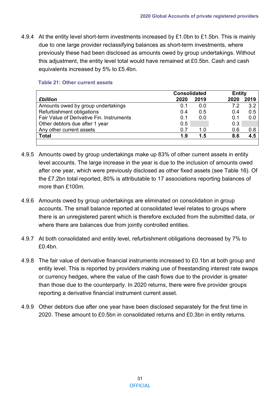4.9.4 At the entity level short-term investments increased by £1.0bn to £1.5bn. This is mainly due to one large provider reclassifying balances as short-term investments, where previously these had been disclosed as amounts owed by group undertakings. Without this adjustment, the entity level total would have remained at £0.5bn. Cash and cash equivalents increased by 5% to £5.4bn.

| <b>Consolidated</b> |      | <b>Entity</b> |      |
|---------------------|------|---------------|------|
| 2020                | 2019 | 2020          | 2019 |
| 0.1                 | 0.0  | 72            | 3.2  |
| 0.4                 | 0.5  | 0.4           | 0.5  |
| 0.1                 | 0.0  | 0.1           | 0.0  |
| 0.5                 |      | 0.3           |      |
| 0.7                 | 1 በ  | 0.6           | 0.8  |
| 1.9                 | 1.5  | 8.6           | 4.5  |
|                     |      |               |      |

#### **Table 21: Other current assets**

- 4.9.5 Amounts owed by group undertakings make up 83% of other current assets in entity level accounts. The large increase in the year is due to the inclusion of amounts owed after one year, which were previously disclosed as other fixed assets (see Table 16). Of the £7.2bn total reported, 80% is attributable to 17 associations reporting balances of more than £100m.
- 4.9.6 Amounts owed by group undertakings are eliminated on consolidation in group accounts. The small balance reported at consolidated level relates to groups where there is an unregistered parent which is therefore excluded from the submitted data, or where there are balances due from jointly controlled entities.
- 4.9.7 At both consolidated and entity level, refurbishment obligations decreased by 7% to  $f(0.4$ bn.
- 4.9.8 The fair value of derivative financial instruments increased to £0.1bn at both group and entity level. This is reported by providers making use of freestanding interest rate swaps or currency hedges, where the value of the cash flows due to the provider is greater than those due to the counterparty. In 2020 returns, there were five provider groups reporting a derivative financial instrument current asset.
- 4.9.9 Other debtors due after one year have been disclosed separately for the first time in 2020. These amount to £0.5bn in consolidated returns and £0.3bn in entity returns.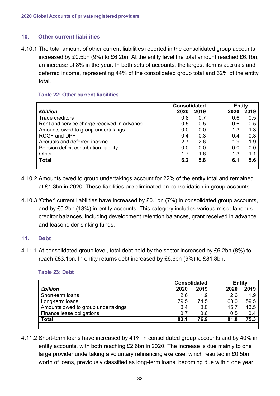#### <span id="page-32-0"></span>**10. Other current liabilities**

4.10.1 The total amount of other current liabilities reported in the consolidated group accounts increased by £0.5bn (9%) to £6.2bn. At the entity level the total amount reached £6.1bn; an increase of 8% in the year. In both sets of accounts, the largest item is accruals and deferred income, representing 44% of the consolidated group total and 32% of the entity total.

#### **Table 22: Other current liabilities**

|                                             | <b>Consolidated</b> |      | <b>Entity</b> |      |
|---------------------------------------------|---------------------|------|---------------|------|
| <b>£billion</b>                             | 2020                | 2019 | 2020          | 2019 |
| <b>Trade creditors</b>                      | 0.8                 | 0.7  | 0.6           | 0.5  |
| Rent and service charge received in advance | 0.5                 | 0.5  | 0.6           | 0.5  |
| Amounts owed to group undertakings          | 0.0                 | 0.0  | 1.3           | 1.3  |
| <b>RCGF and DPF</b>                         | 0.4                 | 0.3  | 0.4           | 0.3  |
| Accruals and deferred income                | 2.7                 | 2.6  | 1.9           | 1.9  |
| Pension deficit contribution liability      | 0.0                 | 0.0  | 0.0           | 0.0  |
| Other                                       | 1.7                 | 1.6  | 1.3           | 1.1  |
| <b>Total</b>                                | 6.2                 | 5.8  | 6.1           | 5.6  |
|                                             |                     |      |               |      |

- 4.10.2 Amounts owed to group undertakings account for 22% of the entity total and remained at £1.3bn in 2020. These liabilities are eliminated on consolidation in group accounts.
- 4.10.3 'Other' current liabilities have increased by £0.1bn (7%) in consolidated group accounts, and by £0.2bn (18%) in entity accounts. This category includes various miscellaneous creditor balances, including development retention balances, grant received in advance and leaseholder sinking funds.

#### <span id="page-32-1"></span>**11. Debt**

4.11.1 At consolidated group level, total debt held by the sector increased by £6.2bn (8%) to reach £83.1bn. In entity returns debt increased by £6.6bn (9%) to £81.8bn.

|                                    | <b>Consolidated</b> |      | <b>Entity</b> |      |
|------------------------------------|---------------------|------|---------------|------|
| <b>£billion</b>                    | 2020                | 2019 | 2020          | 2019 |
| Short-term loans                   | 2.6                 | 1.9  | 2.6           | 1.9  |
| Long-term loans                    | 79.5                | 74.5 | 63.0          | 59.5 |
| Amounts owed to group undertakings | 0.4                 | 0.0  | 15.7          | 13.5 |
| Finance lease obligations          | 0.7                 | 0.6  | 0.5           | 0.4  |
| <b>Total</b>                       | 83.1                | 76.9 | 81.8          | 75.3 |
|                                    |                     |      |               |      |

**Table 23: Debt**

4.11.2 Short-term loans have increased by 41% in consolidated group accounts and by 40% in entity accounts, with both reaching £2.6bn in 2020. The increase is due mainly to one large provider undertaking a voluntary refinancing exercise, which resulted in £0.5bn worth of loans, previously classified as long-term loans, becoming due within one year.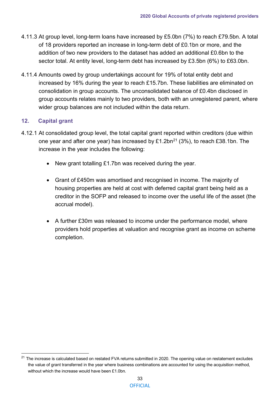- 4.11.3 At group level, long-term loans have increased by £5.0bn (7%) to reach £79.5bn. A total of 18 providers reported an increase in long-term debt of £0.1bn or more, and the addition of two new providers to the dataset has added an additional £0.6bn to the sector total. At entity level, long-term debt has increased by £3.5bn (6%) to £63.0bn.
- 4.11.4 Amounts owed by group undertakings account for 19% of total entity debt and increased by 16% during the year to reach £15.7bn. These liabilities are eliminated on consolidation in group accounts. The unconsolidated balance of £0.4bn disclosed in group accounts relates mainly to two providers, both with an unregistered parent, where wider group balances are not included within the data return.

# <span id="page-33-0"></span>**12. Capital grant**

- 4.12.1 At consolidated group level, the total capital grant reported within creditors (due within one year and after one year) has increased by £1.2bn<sup>21</sup> (3%), to reach £38.1bn. The increase in the year includes the following:
	- New grant totalling £1.7bn was received during the year.
	- Grant of £450m was amortised and recognised in income. The majority of housing properties are held at cost with deferred capital grant being held as a creditor in the SOFP and released to income over the useful life of the asset (the accrual model).
	- A further £30m was released to income under the performance model, where providers hold properties at valuation and recognise grant as income on scheme completion.

<span id="page-33-2"></span><span id="page-33-1"></span><sup>&</sup>lt;sup>21</sup> The increase is calculated based on restated FVA returns submitted in 2020. The opening value on restatement excludes the value of grant transferred in the year where business combinations are accounted for using the acquisition method, without which the increase would have been £1.0bn.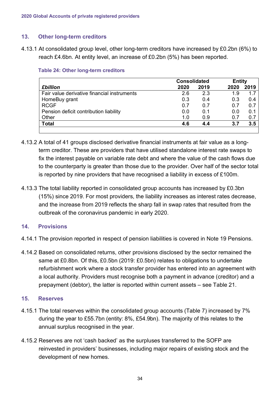# **13. Other long-term creditors**

4.13.1 At consolidated group level, other long-term creditors have increased by £0.2bn (6%) to reach £4.6bn. At entity level, an increase of £0.2bn (5%) has been reported.

|                                             | <b>Consolidated</b> |      | <b>Entity</b> |      |
|---------------------------------------------|---------------------|------|---------------|------|
| <b>£billion</b>                             | 2020                | 2019 | 2020          | 2019 |
| Fair value derivative financial instruments | 2.6                 | 2.3  | 1.9           | 1.7  |
| HomeBuy grant                               | 0.3                 | 0.4  | 0.3           | 0.4  |
| <b>RCGF</b>                                 | 0.7                 | 0.7  | 0.7           | 0.7  |
| Pension deficit contribution liability      | 0.0                 | 0.1  | 0.0           | 0.1  |
| Other                                       | 1.0                 | 0.9  | 0.7           | 0.7  |
| <b>Total</b>                                | 4.6                 | 4.4  | 3.7           | 3.5  |
|                                             |                     |      |               |      |

#### **Table 24: Other long-term creditors**

- 4.13.2 A total of 41 groups disclosed derivative financial instruments at fair value as a longterm creditor. These are providers that have utilised standalone interest rate swaps to fix the interest payable on variable rate debt and where the value of the cash flows due to the counterparty is greater than those due to the provider. Over half of the sector total is reported by nine providers that have recognised a liability in excess of £100m.
- 4.13.3 The total liability reported in consolidated group accounts has increased by £0.3bn (15%) since 2019. For most providers, the liability increases as interest rates decrease, and the increase from 2019 reflects the sharp fall in swap rates that resulted from the outbreak of the coronavirus pandemic in early 2020.

#### <span id="page-34-0"></span>**14. Provisions**

- 4.14.1 The provision reported in respect of pension liabilities is covered in Note 19 Pensions.
- 4.14.2 Based on consolidated returns, other provisions disclosed by the sector remained the same at £0.8bn. Of this, £0.5bn (2019: £0.5bn) relates to obligations to undertake refurbishment work where a stock transfer provider has entered into an agreement with a local authority. Providers must recognise both a payment in advance (creditor) and a prepayment (debtor), the latter is reported within current assets – see Table 21.

#### <span id="page-34-1"></span>**15. Reserves**

- 4.15.1 The total reserves within the consolidated group accounts (Table 7) increased by 7% during the year to £55.7bn (entity: 8%, £54.9bn). The majority of this relates to the annual surplus recognised in the year.
- 4.15.2 Reserves are not 'cash backed' as the surpluses transferred to the SOFP are reinvested in providers' businesses, including major repairs of existing stock and the development of new homes.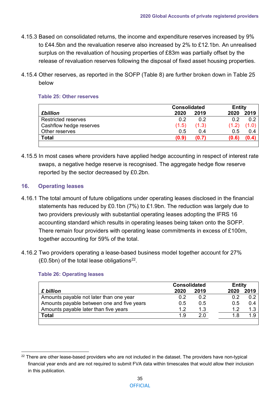- 4.15.3 Based on consolidated returns, the income and expenditure reserves increased by 9% to £44.5bn and the revaluation reserve also increased by 2% to £12.1bn. An unrealised surplus on the revaluation of housing properties of £83m was partially offset by the release of revaluation reserves following the disposal of fixed asset housing properties.
- 4.15.4 Other reserves, as reported in the SOFP (Table 8) are further broken down in Table 25 below

#### **Table 25: Other reserves**

|                            | <b>Consolidated</b> |       |       | <b>Entity</b> |  |
|----------------------------|---------------------|-------|-------|---------------|--|
| <b>£billion</b>            | 2020                | 2019  | 2020  | 2019          |  |
| <b>Restricted reserves</b> | 0.2                 | 0.2   | 0.2   | 0.2           |  |
| Cashflow hedge reserves    | (1.5)               | (1.3) | (1.2) |               |  |
| Other reserves             | 0.5                 | 0.4   | 0.5   | 0.4           |  |
| <b>Total</b>               | (0.9)               | (0.7) | (0.6) | (0.4)         |  |
|                            |                     |       |       |               |  |

4.15.5 In most cases where providers have applied hedge accounting in respect of interest rate swaps, a negative hedge reserve is recognised. The aggregate hedge flow reserve reported by the sector decreased by £0.2bn.

#### <span id="page-35-0"></span>**16. Operating leases**

- 4.16.1 The total amount of future obligations under operating leases disclosed in the financial statements has reduced by £0.1bn (7%) to £1.9bn. The reduction was largely due to two providers previously with substantial operating leases adopting the IFRS 16 accounting standard which results in operating leases being taken onto the SOFP. There remain four providers with operating lease commitments in excess of £100m, together accounting for 59% of the total.
- 4.16.2 Two providers operating a lease-based business model together account for 27%  $(£0.5bn)$  of the total lease obligations<sup>[22](#page-35-1)</sup>.

|                                            | <b>Consolidated</b> |      |      | <b>Entity</b> |  |
|--------------------------------------------|---------------------|------|------|---------------|--|
| £ billion                                  | 2020                | 2019 | 2020 | 2019          |  |
| Amounts payable not later than one year    | 0.2                 | 0.2  | 0.2  | 0.2           |  |
| Amounts payable between one and five years | 0.5                 | 0.5  | 0.5  | 0.4           |  |
| Amounts payable later than five years      | 12                  | 1.3  | 12   | 1.3           |  |
| <b>Total</b>                               | 1.9                 | 20   | 1.8  | 1.9           |  |
|                                            |                     |      |      |               |  |

#### **Table 26: Operating leases**

<span id="page-35-1"></span> $22$  There are other lease-based providers who are not included in the dataset. The providers have non-typical financial year ends and are not required to submit FVA data within timescales that would allow their inclusion in this publication.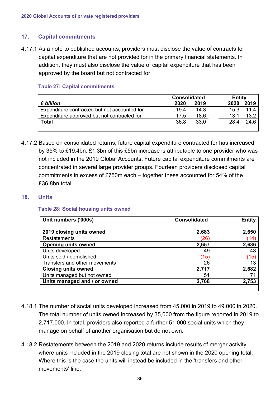# <span id="page-36-0"></span>**17. Capital commitments**

4.17.1 As a note to published accounts, providers must disclose the value of contracts for capital expenditure that are not provided for in the primary financial statements. In addition, they must also disclose the value of capital expenditure that has been approved by the board but not contracted for.

## **Table 27: Capital commitments**

|                                              | <b>Consolidated</b> |      |      | <b>Entity</b> |  |
|----------------------------------------------|---------------------|------|------|---------------|--|
| £ billion                                    | 2020                | 2019 | 2020 | 2019          |  |
| Expenditure contracted but not accounted for | 19.4                | 14.3 | 15.3 | 114           |  |
| Expenditure approved but not contracted for  | 17.5                | 18.6 | 13.1 | 13.2          |  |
| <b>Total</b>                                 | 36.8                | 33.0 | 28.4 | 24.6          |  |
|                                              |                     |      |      |               |  |

4.17.2 Based on consolidated returns, future capital expenditure contracted for has increased by 35% to £19.4bn. £1.3bn of this £5bn increase is attributable to one provider who was not included in the 2019 Global Accounts. Future capital expenditure commitments are concentrated in several large provider groups. Fourteen providers disclosed capital commitments in excess of £750m each – together these accounted for 54% of the £36.8bn total.

## <span id="page-36-1"></span>**18. Units**

#### **Table 28: Social housing units owned**

| Unit numbers ('000s)          | <b>Consolidated</b> | <b>Entity</b> |
|-------------------------------|---------------------|---------------|
| 2019 closing units owned      | 2,683               | 2,650         |
| <b>Restatements</b>           | (26                 | (14)          |
| <b>Opening units owned</b>    | 2,657               | 2,636         |
| Units developed               | 49                  | 48            |
| Units sold / demolished       | (15)                | (15)          |
| Transfers and other movements | 26                  | 13            |
| <b>Closing units owned</b>    | 2,717               | 2,682         |
| Units managed but not owned   | 51                  | 71            |
| Units managed and / or owned  | 2,768               | 2,753         |
|                               |                     |               |

- 4.18.1 The number of social units developed increased from 45,000 in 2019 to 49,000 in 2020. The total number of units owned increased by 35,000 from the figure reported in 2019 to 2,717,000. In total, providers also reported a further 51,000 social units which they manage on behalf of another organisation but do not own.
- 4.18.2 Restatements between the 2019 and 2020 returns include results of merger activity where units included in the 2019 closing total are not shown in the 2020 opening total. Where this is the case the units will instead be included in the 'transfers and other movements' line.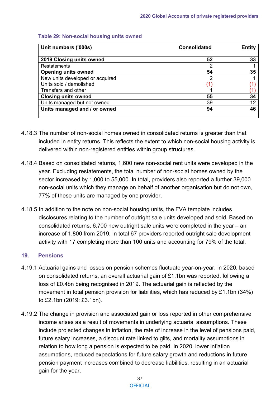| Unit numbers ('000s)            | <b>Consolidated</b> | <b>Entity</b><br>33 |  |
|---------------------------------|---------------------|---------------------|--|
| 2019 Closing units owned        | 52                  |                     |  |
| Restatements                    | 2                   |                     |  |
| <b>Opening units owned</b>      | 54                  | 35                  |  |
| New units developed or acquired | 2                   |                     |  |
| Units sold / demolished         |                     |                     |  |
| Transfers and other             |                     |                     |  |
| <b>Closing units owned</b>      | 55                  | 34                  |  |
| Units managed but not owned     | 39                  | 12                  |  |
| Units managed and / or owned    | 94                  | 46                  |  |

#### **Table 29: Non-social housing units owned**

- 4.18.3 The number of non-social homes owned in consolidated returns is greater than that included in entity returns. This reflects the extent to which non-social housing activity is delivered within non-registered entities within group structures.
- 4.18.4 Based on consolidated returns, 1,600 new non-social rent units were developed in the year. Excluding restatements, the total number of non-social homes owned by the sector increased by 1,000 to 55,000. In total, providers also reported a further 39,000 non-social units which they manage on behalf of another organisation but do not own, 77% of these units are managed by one provider.
- 4.18.5 In addition to the note on non-social housing units, the FVA template includes disclosures relating to the number of outright sale units developed and sold. Based on consolidated returns, 6,700 new outright sale units were completed in the year – an increase of 1,800 from 2019. In total 67 providers reported outright sale development activity with 17 completing more than 100 units and accounting for 79% of the total.

#### <span id="page-37-0"></span>**19. Pensions**

- 4.19.1 Actuarial gains and losses on pension schemes fluctuate year-on-year. In 2020, based on consolidated returns, an overall actuarial gain of £1.1bn was reported, following a loss of £0.4bn being recognised in 2019. The actuarial gain is reflected by the movement in total pension provision for liabilities, which has reduced by £1.1bn (34%) to £2.1bn (2019: £3.1bn).
- 4.19.2 The change in provision and associated gain or loss reported in other comprehensive income arises as a result of movements in underlying actuarial assumptions. These include projected changes in inflation, the rate of increase in the level of pensions paid, future salary increases, a discount rate linked to gilts, and mortality assumptions in relation to how long a pension is expected to be paid. In 2020, lower inflation assumptions, reduced expectations for future salary growth and reductions in future pension payment increases combined to decrease liabilities, resulting in an actuarial gain for the year.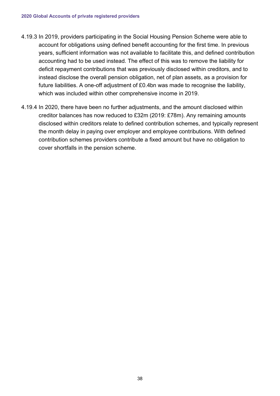- 4.19.3 In 2019, providers participating in the Social Housing Pension Scheme were able to account for obligations using defined benefit accounting for the first time. In previous years, sufficient information was not available to facilitate this, and defined contribution accounting had to be used instead. The effect of this was to remove the liability for deficit repayment contributions that was previously disclosed within creditors, and to instead disclose the overall pension obligation, net of plan assets, as a provision for future liabilities. A one-off adjustment of £0.4bn was made to recognise the liability, which was included within other comprehensive income in 2019.
- 4.19.4 In 2020, there have been no further adjustments, and the amount disclosed within creditor balances has now reduced to £32m (2019: £78m). Any remaining amounts disclosed within creditors relate to defined contribution schemes, and typically represent the month delay in paying over employer and employee contributions. With defined contribution schemes providers contribute a fixed amount but have no obligation to cover shortfalls in the pension scheme.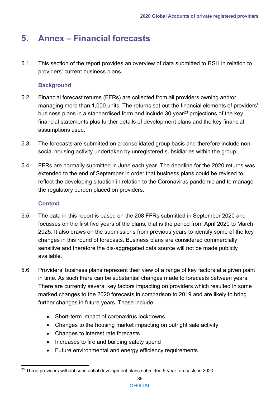# <span id="page-39-0"></span>**5. Annex – Financial forecasts**

5.1 This section of the report provides an overview of data submitted to RSH in relation to providers' current business plans.

# **Background**

- 5.2 Financial forecast returns (FFRs) are collected from all providers owning and/or managing more than 1,000 units. The returns set out the financial elements of providers' business plans in a standardised form and include 30 year $^{23}$  $^{23}$  $^{23}$  projections of the key financial statements plus further details of development plans and the key financial assumptions used.
- 5.3 The forecasts are submitted on a consolidated group basis and therefore include nonsocial housing activity undertaken by unregistered subsidiaries within the group.
- 5.4 FFRs are normally submitted in June each year. The deadline for the 2020 returns was extended to the end of September in order that business plans could be revised to reflect the developing situation in relation to the Coronavirus pandemic and to manage the regulatory burden placed on providers.

# **Context**

- 5.5 The data in this report is based on the 208 FFRs submitted in September 2020 and focusses on the first five years of the plans, that is the period from April 2020 to March 2025. It also draws on the submissions from previous years to identify some of the key changes in this round of forecasts. Business plans are considered commercially sensitive and therefore the dis-aggregated data source will not be made publicly available.
- 5.6 Providers' business plans represent their view of a range of key factors at a given point in time. As such there can be substantial changes made to forecasts between years. There are currently several key factors impacting on providers which resulted in some marked changes to the 2020 forecasts in comparison to 2019 and are likely to bring further changes in future years. These include:
	- Short-term impact of coronavirus lockdowns
	- Changes to the housing market impacting on outright sale activity
	- Changes to interest rate forecasts
	- Increases to fire and building safety spend
	- Future environmental and energy efficiency requirements

<span id="page-39-1"></span> $23$  Three providers without substantial development plans submitted 5-year forecasts in 2020.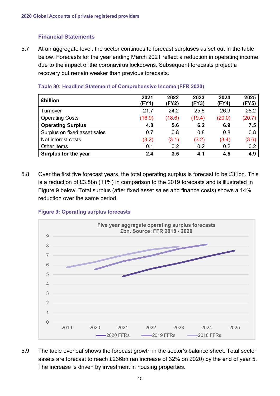# **Financial Statements**

5.7 At an aggregate level, the sector continues to forecast surpluses as set out in the table below. Forecasts for the year ending March 2021 reflect a reduction in operating income due to the impact of the coronavirus lockdowns. Subsequent forecasts project a recovery but remain weaker than previous forecasts.

| <b>£billion</b>              | 2021<br>(FY1) | 2022<br>(FY2) | 2023<br>(FY3) | 2024<br>(FY4) | 2025<br>(FY5) |
|------------------------------|---------------|---------------|---------------|---------------|---------------|
| Turnover                     | 21.7          | 24.2          | 25.6          | 26.9          | 28.2          |
| <b>Operating Costs</b>       | (16.9)        | (18.6)        | (19.4)        | (20.0)        | (20.7)        |
| <b>Operating Surplus</b>     | 4.8           | 5.6           | 6.2           | 6.9           | 7.5           |
| Surplus on fixed asset sales | 0.7           | 0.8           | 0.8           | 0.8           | 0.8           |
| Net interest costs           | (3.2)         | (3.1)         | (3.2)         | (3.4)         | (3.6)         |
| Other items                  | 0.1           | 0.2           | 0.2           | 0.2           | 0.2           |
| Surplus for the year         | 2.4           | 3.5           | 4.1           | 4.5           | 4.9           |

#### **Table 30: Headline Statement of Comprehensive Income (FFR 2020)**

5.8 Over the first five forecast years, the total operating surplus is forecast to be £31bn. This is a reduction of £3.8bn (11%) in comparison to the 2019 forecasts and is illustrated in Figure 9 below. Total surplus (after fixed asset sales and finance costs) shows a 14% reduction over the same period.





5.9 The table overleaf shows the forecast growth in the sector's balance sheet. Total sector assets are forecast to reach £236bn (an increase of 32% on 2020) by the end of year 5. The increase is driven by investment in housing properties.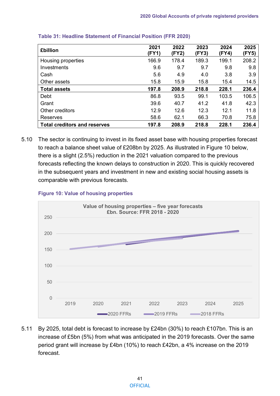| <b>£billion</b>                     | 2021<br>(FY1) | 2022<br>(FY2) | 2023<br>(FY3) | 2024<br>(FY4) | 2025<br>(FY5) |
|-------------------------------------|---------------|---------------|---------------|---------------|---------------|
| Housing properties                  | 166.9         | 178.4         | 189.3         | 199.1         | 208.2         |
| Investments                         | 9.6           | 9.7           | 9.7           | 9.8           | 9.8           |
| Cash                                | 5.6           | 4.9           | 4.0           | 3.8           | 3.9           |
| Other assets                        | 15.8          | 15.9          | 15.8          | 15.4          | 14.5          |
| <b>Total assets</b>                 | 197.8         | 208.9         | 218.8         | 228.1         | 236.4         |
| Debt                                | 86.8          | 93.5          | 99.1          | 103.5         | 106.5         |
| Grant                               | 39.6          | 40.7          | 41.2          | 41.8          | 42.3          |
| Other creditors                     | 12.9          | 12.6          | 12.3          | 12.1          | 11.8          |
| Reserves                            | 58.6          | 62.1          | 66.3          | 70.8          | 75.8          |
| <b>Total creditors and reserves</b> | 197.8         | 208.9         | 218.8         | 228.1         | 236.4         |

#### **Table 31: Headline Statement of Financial Position (FFR 2020)**

5.10 The sector is continuing to invest in its fixed asset base with housing properties forecast to reach a balance sheet value of £208bn by 2025. As illustrated in Figure 10 below, there is a slight (2.5%) reduction in the 2021 valuation compared to the previous forecasts reflecting the known delays to construction in 2020. This is quickly recovered in the subsequent years and investment in new and existing social housing assets is comparable with previous forecasts.



#### **Figure 10: Value of housing properties**

5.11 By 2025, total debt is forecast to increase by £24bn (30%) to reach £107bn. This is an increase of £5bn (5%) from what was anticipated in the 2019 forecasts. Over the same period grant will increase by £4bn (10%) to reach £42bn, a 4% increase on the 2019 forecast.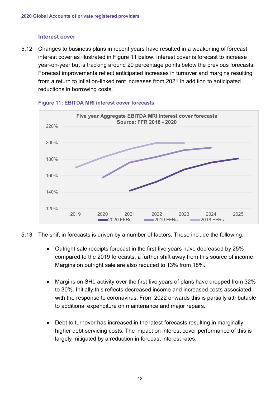#### **Interest cover**

5.12 Changes to business plans in recent years have resulted in a weakening of forecast interest cover as illustrated in Figure 11 below. Interest cover is forecast to increase year-on-year but is tracking around 20 percentage points below the previous forecasts. Forecast improvements reflect anticipated increases in turnover and margins resulting from a return to inflation-linked rent increases from 2021 in addition to anticipated reductions in borrowing costs.



#### **Figure 11: EBITDA MRI interest cover forecasts**

- 5.13 The shift in forecasts is driven by a number of factors. These include the following.
	- Outright sale receipts forecast in the first five years have decreased by 25% compared to the 2019 forecasts, a further shift away from this source of income. Margins on outright sale are also reduced to 13% from 18%.
	- Margins on SHL activity over the first five years of plans have dropped from 32% to 30%. Initially this reflects decreased income and increased costs associated with the response to coronavirus. From 2022 onwards this is partially attributable to additional expenditure on maintenance and major repairs.
	- Debt to turnover has increased in the latest forecasts resulting in marginally higher debt servicing costs. The impact on interest cover performance of this is largely mitigated by a reduction in forecast interest rates.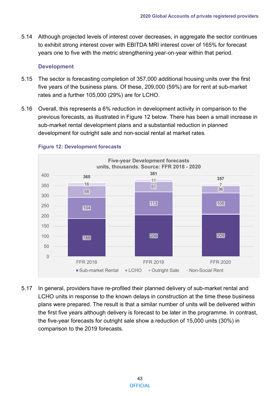5.14 Although projected levels of interest cover decreases, in aggregate the sector continues to exhibit strong interest cover with EBITDA MRI interest cover of 165% for forecast years one to five with the metric strengthening year-on-year within that period.

#### **Development**

- 5.15 The sector is forecasting completion of 357,000 additional housing units over the first five years of the business plans. Of these, 209,000 (59%) are for rent at sub-market rates and a further 105,000 (29%) are for LCHO.
- 5.16 Overall, this represents a 6% reduction in development activity in comparison to the previous forecasts, as illustrated in Figure 12 below. There has been a small increase in sub-market rental development plans and a substantial reduction in planned development for outright sale and non-social rental at market rates.



# **Figure 12: Development forecasts**

5.17 In general, providers have re-profiled their planned delivery of sub-market rental and LCHO units in response to the known delays in construction at the time these business plans were prepared. The result is that a similar number of units will be delivered within the first five years although delivery is forecast to be later in the programme. In contrast, the five-year forecasts for outright sale show a reduction of 15,000 units (30%) in comparison to the 2019 forecasts.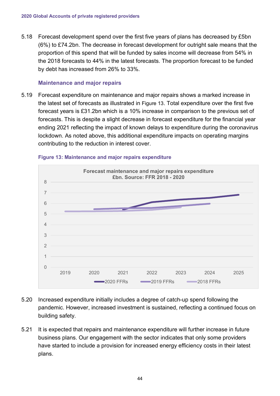5.18 Forecast development spend over the first five years of plans has decreased by £5bn (6%) to £74.2bn. The decrease in forecast development for outright sale means that the proportion of this spend that will be funded by sales income will decrease from 54% in the 2018 forecasts to 44% in the latest forecasts. The proportion forecast to be funded by debt has increased from 26% to 33%.

#### **Maintenance and major repairs**

5.19 Forecast expenditure on maintenance and major repairs shows a marked increase in the latest set of forecasts as illustrated in Figure 13. Total expenditure over the first five forecast years is £31.2bn which is a 10% increase in comparison to the previous set of forecasts. This is despite a slight decrease in forecast expenditure for the financial year ending 2021 reflecting the impact of known delays to expenditure during the coronavirus lockdown. As noted above, this additional expenditure impacts on operating margins contributing to the reduction in interest cover.



#### **Figure 13: Maintenance and major repairs expenditure**

- 5.20 Increased expenditure initially includes a degree of catch-up spend following the pandemic. However, increased investment is sustained, reflecting a continued focus on building safety.
- 5.21 It is expected that repairs and maintenance expenditure will further increase in future business plans. Our engagement with the sector indicates that only some providers have started to include a provision for increased energy efficiency costs in their latest plans.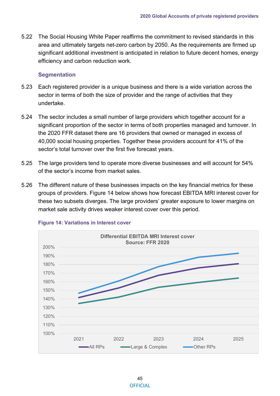5.22 The Social Housing White Paper reaffirms the commitment to revised standards in this area and ultimately targets net-zero carbon by 2050. As the requirements are firmed up significant additional investment is anticipated in relation to future decent homes, energy efficiency and carbon reduction work.

#### **Segmentation**

- 5.23 Each registered provider is a unique business and there is a wide variation across the sector in terms of both the size of provider and the range of activities that they undertake.
- 5.24 The sector includes a small number of large providers which together account for a significant proportion of the sector in terms of both properties managed and turnover. In the 2020 FFR dataset there are 16 providers that owned or managed in excess of 40,000 social housing properties. Together these providers account for 41% of the sector's total turnover over the first five forecast years.
- 5.25 The large providers tend to operate more diverse businesses and will account for 54% of the sector's income from market sales.
- 5.26 The different nature of these businesses impacts on the key financial metrics for these groups of providers. Figure 14 below shows how forecast EBITDA MRI interest cover for these two subsets diverges. The large providers' greater exposure to lower margins on market sale activity drives weaker interest cover over this period.



#### **Figure 14: Variations in Interest cover**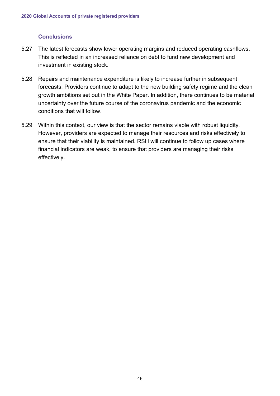## **Conclusions**

- 5.27 The latest forecasts show lower operating margins and reduced operating cashflows. This is reflected in an increased reliance on debt to fund new development and investment in existing stock.
- 5.28 Repairs and maintenance expenditure is likely to increase further in subsequent forecasts. Providers continue to adapt to the new building safety regime and the clean growth ambitions set out in the White Paper. In addition, there continues to be material uncertainty over the future course of the coronavirus pandemic and the economic conditions that will follow.
- 5.29 Within this context, our view is that the sector remains viable with robust liquidity. However, providers are expected to manage their resources and risks effectively to ensure that their viability is maintained. RSH will continue to follow up cases where financial indicators are weak, to ensure that providers are managing their risks effectively.